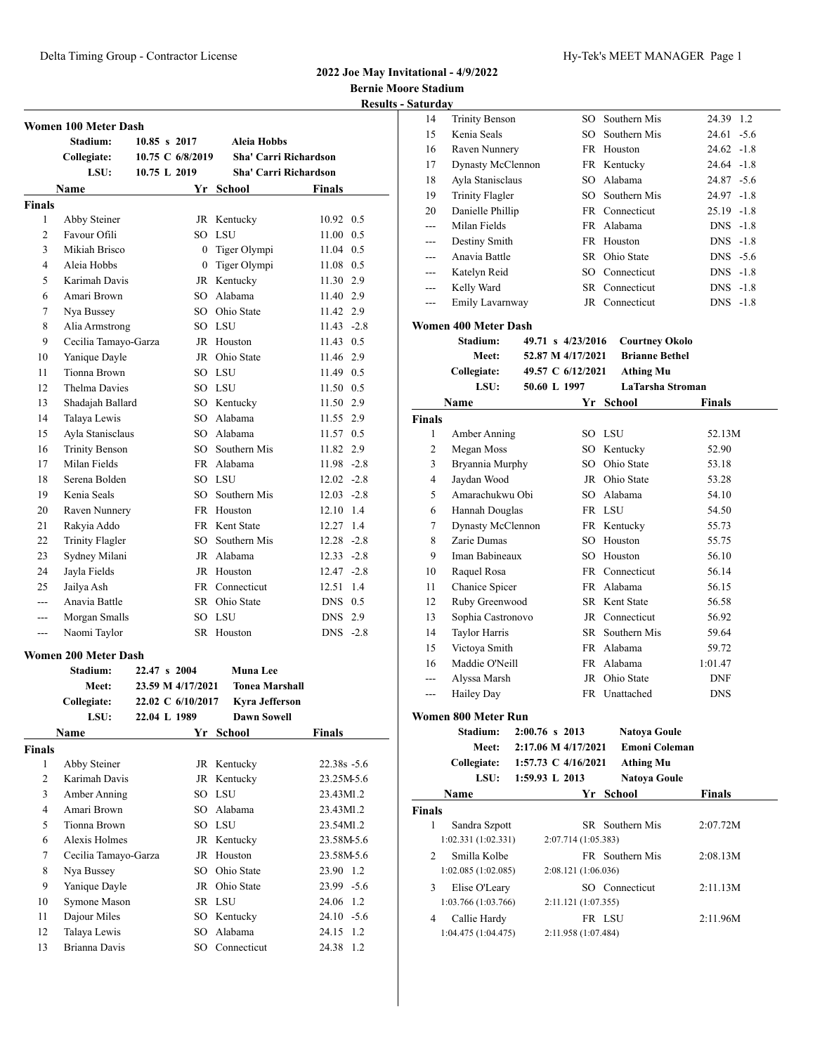**Results - Saturday** 

|                |                               |                         |                       |                       | <b>Result:</b> |
|----------------|-------------------------------|-------------------------|-----------------------|-----------------------|----------------|
|                | <b>Women 100 Meter Dash</b>   |                         |                       |                       |                |
|                | Stadium:                      | $10.85 \text{ s } 2017$ | Aleia Hobbs           |                       |                |
|                | Collegiate:                   | 10.75 C 6/8/2019        |                       | Sha' Carri Richardson |                |
|                | LSU:                          | 10.75 L 2019            |                       | Sha' Carri Richardson |                |
|                | Name                          | Yr                      | School                | Finals                |                |
| <b>Finals</b>  |                               |                         |                       |                       |                |
| 1              | Abby Steiner                  |                         | JR Kentucky           | 10.92 0.5             |                |
| $\overline{c}$ | Favour Ofili                  |                         | SO LSU                | 11.00 0.5             |                |
| 3              | Mikiah Brisco                 |                         | 0 Tiger Olympi        | 11.04 0.5             |                |
| 4              | Aleia Hobbs                   |                         | 0 Tiger Olympi        | 11.08 0.5             |                |
| 5              | Karimah Davis                 |                         | JR Kentucky           | 11.30 2.9             |                |
| 6              | Amari Brown                   |                         | SO Alabama            | 11.40 2.9             |                |
| 7              | Nya Bussey                    |                         | SO Ohio State         | 11.42 2.9             |                |
| 8              | Alia Armstrong                |                         | SO LSU                | $11.43 - 2.8$         |                |
| 9              | Cecilia Tamayo-Garza          |                         | JR Houston            | 11.43 0.5             |                |
| 10             |                               |                         | JR Ohio State         | 11.46 2.9             |                |
|                | Yanique Dayle<br>Tionna Brown |                         |                       | 11.49 0.5             |                |
| 11             |                               |                         | SO LSU                |                       |                |
| 12             | <b>Thelma Davies</b>          |                         | SO LSU                | 11.50 0.5             |                |
| 13             | Shadajah Ballard              |                         | SO Kentucky           | 11.50 2.9             |                |
| 14             | Talaya Lewis                  |                         | SO Alabama            | 11.55 2.9             |                |
| 15             | Ayla Stanisclaus              |                         | SO Alabama            | 11.57 0.5             |                |
| 16             | <b>Trinity Benson</b>         |                         | SO Southern Mis       | 11.82 2.9             |                |
| 17             | Milan Fields                  |                         | FR Alabama            | $11.98 - 2.8$         |                |
| 18             | Serena Bolden                 |                         | SO LSU                | $12.02 -2.8$          |                |
| 19             | Kenia Seals                   |                         | SO Southern Mis       | $12.03 - 2.8$         |                |
| 20             | Raven Nunnery                 |                         | FR Houston            | 12.10 1.4             |                |
| 21             | Rakyia Addo                   |                         | FR Kent State         | 12.27                 | 1.4            |
| 22             | <b>Trinity Flagler</b>        |                         | SO Southern Mis       | $12.28 - 2.8$         |                |
| 23             | Sydney Milani                 |                         | JR Alabama            | $12.33 - 2.8$         |                |
| 24             | Jayla Fields                  |                         | JR Houston            | $12.47 - 2.8$         |                |
| 25             | Jailya Ash                    |                         | FR Connecticut        | 12.51 1.4             |                |
| $- - -$        | Anavia Battle                 |                         | SR Ohio State         | $DNS$ 0.5             |                |
| ---            | Morgan Smalls                 |                         | SO LSU                | DNS 2.9               |                |
| ---            | Naomi Taylor                  |                         | SR Houston            | DNS -2.8              |                |
|                | Women 200 Meter Dash          |                         |                       |                       |                |
|                | Stadium:                      | 22.47 s 2004            | Muna Lee              |                       |                |
|                | <b>Meet:</b>                  | 23.59 M 4/17/2021       | <b>Tonea Marshall</b> |                       |                |
|                | Collegiate:                   | 22.02 C 6/10/2017       | Kyra Jefferson        |                       |                |
|                | LSU:                          | 22.04 L 1989            | <b>Dawn Sowell</b>    |                       |                |
|                | Name                          |                         | Yr School             | <b>Finals</b>         |                |
| <b>Finals</b>  |                               |                         |                       |                       |                |
| 1              | Abby Steiner                  |                         | JR Kentucky           | $22.38s - 5.6$        |                |
| 2              | Karimah Davis                 |                         | JR Kentucky           | 23.25M-5.6            |                |
| 3              | <b>Amber Anning</b>           |                         | SO LSU                | 23.43ML2              |                |
| 4              | Amari Brown                   |                         | SO Alabama            | 23.43Ml.2             |                |
| 5              | Tionna Brown                  |                         | SO LSU                | 23.54Ml.2             |                |
|                |                               |                         |                       |                       |                |
| 6              | Alexis Holmes                 |                         | JR Kentucky           | 23.58M-5.6            |                |
| 7              | Cecilia Tamayo-Garza          |                         | JR Houston            | 23.58M-5.6            |                |
| 8              | Nya Bussey                    |                         | SO Ohio State         | 23.90 1.2             |                |
| 9              | Yanique Dayle                 |                         | JR Ohio State         | 23.99 -5.6            |                |
| 10             | Symone Mason                  |                         | SR LSU                | 24.06 1.2             |                |
| 11             | Dajour Miles                  | SO                      | Kentucky              | $24.10 - 5.6$         |                |
| 12             | Talaya Lewis                  | SO                      | Alabama               | 24.15 1.2             |                |

13 Brianna Davis SO Connecticut 24.38 1.2

| <u>saturuay</u> |                             |                       |                     |                       |                 |
|-----------------|-----------------------------|-----------------------|---------------------|-----------------------|-----------------|
| 14              | <b>Trinity Benson</b>       |                       |                     | SO Southern Mis       | 24.39<br>1.2    |
| 15              | Kenia Seals                 |                       |                     | SO Southern Mis       | 24.61<br>$-5.6$ |
| 16              | Raven Nunnery               |                       |                     | FR Houston            | $24.62 -1.8$    |
| 17              | <b>Dynasty McClennon</b>    |                       |                     | FR Kentucky           | 24.64 -1.8      |
| 18              | Ayla Stanisclaus            |                       |                     | SO Alabama            | 24.87 -5.6      |
| 19              | <b>Trinity Flagler</b>      |                       |                     | SO Southern Mis       | 24.97 -1.8      |
| 20              | Danielle Phillip            |                       |                     | FR Connecticut        | 25.19 -1.8      |
| ---             | Milan Fields                |                       |                     | FR Alabama            | DNS -1.8        |
| ---             | Destiny Smith               |                       |                     | FR Houston            | $DNS -1.8$      |
| ---             | Anavia Battle               |                       |                     | SR Ohio State         | $DNS - 5.6$     |
| ---             | Katelyn Reid                |                       |                     | SO Connecticut        | DNS -1.8        |
| $---$           | Kelly Ward                  |                       |                     | SR Connecticut        | DNS -1.8        |
| $---$           | Emily Lavarnway             |                       |                     | JR Connecticut        | DNS -1.8        |
|                 |                             |                       |                     |                       |                 |
|                 | <b>Women 400 Meter Dash</b> |                       |                     |                       |                 |
|                 | Stadium:                    | 49.71 s 4/23/2016     |                     | <b>Courtney Okolo</b> |                 |
|                 | <b>Meet:</b>                | 52.87 M 4/17/2021     |                     | <b>Brianne Bethel</b> |                 |
|                 | Collegiate:                 | 49.57 C 6/12/2021     |                     | <b>Athing Mu</b>      |                 |
|                 | LSU:                        | 50.60 L 1997          |                     | LaTarsha Stroman      |                 |
|                 | Name                        |                       |                     | Yr School             | Finals          |
| <b>Finals</b>   |                             |                       |                     |                       |                 |
| 1               | Amber Anning                |                       |                     | SO LSU                | 52.13M          |
| 2               | Megan Moss                  |                       |                     | SO Kentucky           | 52.90           |
| 3               | Bryannia Murphy             |                       |                     | SO Ohio State         | 53.18           |
| 4               | Jaydan Wood                 |                       |                     | JR Ohio State         | 53.28           |
| 5               | Amarachukwu Obi             |                       |                     | SO Alabama            | 54.10           |
| 6               | Hannah Douglas              |                       |                     | FR LSU                | 54.50           |
| 7               | <b>Dynasty McClennon</b>    |                       |                     | FR Kentucky           | 55.73           |
| 8               | Zarie Dumas                 |                       |                     | SO Houston            | 55.75           |
| 9               | Iman Babineaux              |                       |                     | SO Houston            | 56.10           |
| 10              | Raquel Rosa                 |                       |                     | FR Connecticut        | 56.14           |
| 11              | Chanice Spicer              |                       |                     | FR Alabama            | 56.15           |
| 12              | Ruby Greenwood              |                       |                     | SR Kent State         | 56.58           |
| 13              | Sophia Castronovo           |                       |                     | JR Connecticut        | 56.92           |
| 14              | <b>Taylor Harris</b>        |                       |                     | SR Southern Mis       | 59.64           |
| 15              | Victoya Smith               |                       |                     | FR Alabama            | 59.72           |
| 16              | Maddie O'Neill              |                       |                     | FR Alabama            | 1:01.47         |
| ---             | Alyssa Marsh                |                       |                     | JR Ohio State         | DNF             |
| ---             | Hailey Day                  |                       |                     | FR Unattached         | <b>DNS</b>      |
|                 | <b>Women 800 Meter Run</b>  |                       |                     |                       |                 |
|                 | Stadium:                    | $2:00.76$ s 2013      |                     | Natoya Goule          |                 |
|                 | <b>Meet:</b>                | 2:17.06 M 4/17/2021   |                     | <b>Emoni Coleman</b>  |                 |
|                 | Collegiate:                 | 1:57.73 C $4/16/2021$ |                     | <b>Athing Mu</b>      |                 |
|                 | LSU:                        | 1:59.93 L 2013        |                     | <b>Natoya Goule</b>   |                 |
|                 | Name                        |                       |                     | Yr School             | <b>Finals</b>   |
| Finals          |                             |                       |                     |                       |                 |
| 1               | Sandra Szpott               |                       |                     | SR Southern Mis       | 2:07.72M        |
|                 | 1:02.331 (1:02.331)         |                       | 2:07.714 (1:05.383) |                       |                 |
| 2               | Smilla Kolbe                |                       |                     | FR Southern Mis       |                 |
|                 | 1:02.085(1:02.085)          |                       | 2:08.121 (1:06.036) |                       | 2:08.13M        |
|                 |                             |                       |                     |                       |                 |
| 3               | Elise O'Leary               |                       |                     | SO Connecticut        | 2:11.13M        |
|                 | 1:03.766 (1:03.766)         |                       | 2:11.121 (1:07.355) |                       |                 |
| 4               | Callie Hardy                |                       |                     | FR LSU                | 2:11.96M        |
|                 | 1:04.475 (1:04.475)         |                       | 2:11.958 (1:07.484) |                       |                 |
|                 |                             |                       |                     |                       |                 |
|                 |                             |                       |                     |                       |                 |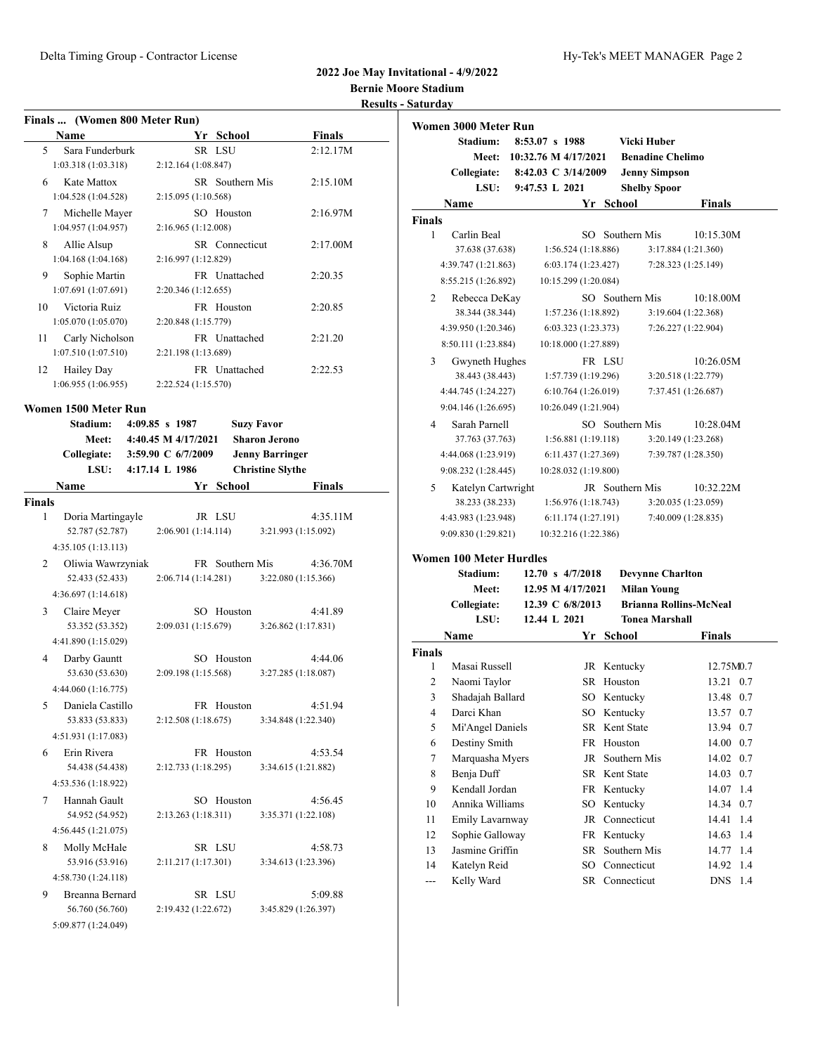# **2022 Joe May Invitational - 4/9/2022**

**Bernie Moore Stadium**

# **Results - Saturday**

|        | Finals  (Women 800 Meter Run) |                          |                         |                     |
|--------|-------------------------------|--------------------------|-------------------------|---------------------|
|        | Name                          |                          | Yr School               | <b>Finals</b>       |
| 5      | Sara Funderburk               |                          | SR LSU                  | 2:12.17M            |
|        | 1:03.318 (1:03.318)           | 2:12.164 (1:08.847)      |                         |                     |
| 6      | Kate Mattox                   |                          | SR Southern Mis         | 2:15.10M            |
|        | 1:04.528 (1:04.528)           | 2:15.095 (1:10.568)      |                         |                     |
| 7      | Michelle Mayer                |                          | SO Houston              | 2:16.97M            |
|        | 1:04.957 (1:04.957)           | 2:16.965 (1:12.008)      |                         |                     |
| 8      | Allie Alsup                   |                          | SR Connecticut          | 2:17.00M            |
|        | 1:04.168 (1:04.168)           | 2:16.997 (1:12.829)      |                         |                     |
| 9      | Sophie Martin                 |                          | FR Unattached           | 2:20.35             |
|        | 1:07.691 (1:07.691)           | 2:20.346 (1:12.655)      |                         |                     |
| 10     | Victoria Ruiz                 |                          | FR Houston              | 2:20.85             |
|        | 1:05.070 (1:05.070)           | 2:20.848 (1:15.779)      |                         |                     |
| 11     | Carly Nicholson               |                          | FR Unattached           | 2:21.20             |
|        | 1:07.510 (1:07.510)           | 2:21.198 (1:13.689)      |                         |                     |
| 12     | <b>Hailey Day</b>             |                          | FR Unattached           | 2:22.53             |
|        | 1:06.955(1:06.955)            | 2:22.524 (1:15.570)      |                         |                     |
|        | Women 1500 Meter Run          |                          |                         |                     |
|        | Stadium:                      | $4:09.85 \text{ s}$ 1987 | <b>Suzy Favor</b>       |                     |
|        | Meet:                         | 4:40.45 M 4/17/2021      | <b>Sharon Jerono</b>    |                     |
|        | Collegiate:                   | 3:59.90 C 6/7/2009       | <b>Jenny Barringer</b>  |                     |
|        | LSU:                          | 4:17.14 L 1986           | <b>Christine Slythe</b> |                     |
|        | Name                          | Yr                       | <b>School</b>           | <b>Finals</b>       |
| Finals |                               |                          |                         |                     |
| 1      | Doria Martingayle             |                          | JR LSU                  | 4:35.11M            |
|        | 52.787 (52.787)               | 2:06.901(1:14.114)       |                         | 3:21.993 (1:15.092) |
|        | 4:35.105 (1:13.113)           |                          |                         |                     |
| 2      | Oliwia Wawrzyniak             |                          | FR Southern Mis         | 4:36.70M            |
|        | 52.433 (52.433)               | 2:06.714(1:14.281)       |                         | 3:22.080 (1:15.366) |
|        | 4:36.697 (1:14.618)           |                          |                         |                     |
| 3      | Claire Meyer                  |                          | SO Houston              | 4:41.89             |
|        | 53.352 (53.352)               | 2:09.031 (1:15.679)      |                         | 3:26.862 (1:17.831) |
|        | 4:41.890 (1:15.029)           |                          |                         |                     |
| 4      | Darby Gauntt                  |                          | SO Houston              | 4:44.06             |
|        | 53.630 (53.630)               | 2:09.198 (1:15.568)      |                         | 3:27.285 (1:18.087) |
|        | 4:44.060 (1:16.775)           |                          |                         |                     |
| 5      | Daniela Castillo              |                          | FR Houston              | 4:51.94             |
|        | 53.833 (53.833)               | 2:12.508(1:18.675)       |                         | 3:34.848 (1:22.340) |
|        | 4:51.931 (1:17.083)           |                          |                         |                     |
| 6      | Erin Rivera                   |                          | FR Houston              | 4:53.54             |
|        | 54.438 (54.438)               | 2:12.733 (1:18.295)      |                         | 3:34.615 (1:21.882) |
|        | 4:53.536 (1:18.922)           |                          |                         |                     |
| 7      | Hannah Gault                  |                          | SO Houston              | 4:56.45             |
|        | 54.952 (54.952)               | 2:13.263 (1:18.311)      |                         | 3:35.371 (1:22.108) |
|        | 4:56.445 (1:21.075)           |                          |                         |                     |
| 8      | Molly McHale                  |                          | SR LSU                  | 4:58.73             |
|        | 53.916 (53.916)               | 2:11.217 (1:17.301)      |                         | 3:34.613 (1:23.396) |
|        | 4:58.730 (1:24.118)           |                          |                         |                     |
| 9      | Breanna Bernard               |                          | SR LSU                  | 5:09.88             |
|        | 56.760 (56.760)               | 2:19.432 (1:22.672)      |                         | 3:45.829 (1:26.397) |
|        | 5:09.877 (1:24.049)           |                          |                         |                     |

|               | Women 3000 Meter Run           |                      |                      |                              |                               |                        |
|---------------|--------------------------------|----------------------|----------------------|------------------------------|-------------------------------|------------------------|
|               | <b>Stadium:</b>                | 8:53.07 s 1988       |                      |                              | Vicki Huber                   |                        |
|               | <b>Meet:</b>                   | 10:32.76 M 4/17/2021 |                      |                              | <b>Benadine Chelimo</b>       |                        |
|               | Collegiate:                    | 8:42.03 C 3/14/2009  |                      |                              | <b>Jenny Simpson</b>          |                        |
|               | LSU:                           | $9:47.53$ L 2021     |                      |                              | <b>Shelby Spoor</b>           |                        |
|               | Name                           |                      |                      | Yr School                    |                               | <b>Finals</b>          |
| <b>Finals</b> |                                |                      |                      |                              |                               |                        |
| $\mathbf{1}$  | Carlin Beal                    |                      |                      | SO Southern Mis              |                               | 10:15.30M              |
|               | 37.638 (37.638)                |                      | 1:56.524 (1:18.886)  |                              | 3:17.884 (1:21.360)           |                        |
|               | 4:39.747 (1:21.863)            |                      | 6:03.174(1:23.427)   |                              | 7:28.323 (1:25.149)           |                        |
|               | 8:55.215 (1:26.892)            |                      | 10:15.299 (1:20.084) |                              |                               |                        |
| 2             | Rebecca DeKay                  |                      |                      | SO Southern Mis              |                               | 10:18.00M              |
|               | 38.344 (38.344)                |                      | 1:57.236(1:18.892)   |                              | 3:19.604 (1:22.368)           |                        |
|               | 4:39.950 (1:20.346)            |                      | 6:03.323(1:23.373)   |                              | 7:26.227 (1:22.904)           |                        |
|               | 8:50.111 (1:23.884)            |                      | 10:18.000 (1:27.889) |                              |                               |                        |
| 3             | Gwyneth Hughes                 |                      |                      | FR LSU                       |                               | 10:26.05M              |
|               | 38.443 (38.443)                |                      | 1:57.739(1:19.296)   |                              | 3:20.518 (1:22.779)           |                        |
|               | 4:44.745 (1:24.227)            |                      | 6:10.764(1:26.019)   |                              | 7:37.451 (1:26.687)           |                        |
|               | 9:04.146 (1:26.695)            |                      | 10:26.049 (1:21.904) |                              |                               |                        |
| 4             | Sarah Parnell                  |                      |                      | SO Southern Mis              |                               | 10:28.04M              |
|               | 37.763 (37.763)                |                      | 1:56.881 (1:19.118)  |                              | 3:20.149 (1:23.268)           |                        |
|               | 4:44.068 (1:23.919)            |                      | 6:11.437(1:27.369)   |                              | 7:39.787 (1:28.350)           |                        |
|               | 9:08.232 (1:28.445)            |                      | 10:28.032 (1:19.800) |                              |                               |                        |
| 5             | Katelyn Cartwright             |                      |                      | JR Southern Mis              |                               | 10:32.22M              |
|               | 38.233 (38.233)                |                      | 1:56.976(1:18.743)   |                              | 3:20.035 (1:23.059)           |                        |
|               | 4:43.983 (1:23.948)            |                      | 6:11.174(1:27.191)   |                              | 7:40.009 (1:28.835)           |                        |
|               | 9:09.830 (1:29.821)            |                      | 10:32.216 (1:22.386) |                              |                               |                        |
|               |                                |                      |                      |                              |                               |                        |
|               | <b>Women 100 Meter Hurdles</b> |                      |                      |                              |                               |                        |
|               | Stadium:                       |                      | 12.70 s 4/7/2018     |                              | <b>Devynne Charlton</b>       |                        |
|               | Meet:                          |                      | 12.95 M 4/17/2021    |                              | <b>Milan Young</b>            |                        |
|               | Collegiate:                    |                      | 12.39 C 6/8/2013     |                              | <b>Brianna Rollins-McNeal</b> |                        |
|               | LSU:                           | 12.44 L 2021         |                      |                              | <b>Tonea Marshall</b>         |                        |
|               | Name                           |                      | Yr                   | <b>School</b>                |                               | Finals                 |
| <b>Finals</b> | Masai Russell                  |                      |                      |                              |                               |                        |
| 1             |                                |                      |                      | JR Kentucky                  |                               | 12.75M0.7              |
| 2<br>3        | Naomi Taylor                   |                      |                      | SR Houston<br>SO Kentucky    |                               | 13.21 0.7<br>13.48 0.7 |
| 4             | Shadajah Ballard               |                      |                      |                              |                               | 13.57 0.7              |
| 5             | Darci Khan<br>Mi'Angel Daniels |                      |                      | SO Kentucky<br>SR Kent State |                               | 13.94 0.7              |
| 6             | Destiny Smith                  |                      | FR                   | Houston                      |                               | 14.00 0.7              |
| $\tau$        | Marquasha Myers                |                      | JR                   | Southern Mis                 |                               | 14.02<br>0.7           |
| 8             | Benja Duff                     |                      | SR                   | Kent State                   |                               | 14.03<br>0.7           |
| 9             | Kendall Jordan                 |                      |                      | FR Kentucky                  |                               | 1.4<br>14.07           |
| 10            | Annika Williams                |                      | SO                   | Kentucky                     |                               | 14.34<br>0.7           |
| 11            | Emily Lavarnway                |                      |                      | JR Connecticut               |                               | 14.41<br>1.4           |
| 12            | Sophie Galloway                |                      |                      | FR Kentucky                  |                               | 14.63<br>1.4           |
| 13            | Jasmine Griffin                |                      | SR                   | Southern Mis                 |                               | 14.77 1.4              |
| 14            | Katelyn Reid                   |                      | SO                   | Connecticut                  |                               | 14.92<br>1.4           |
| ---           | Kelly Ward                     |                      |                      | SR Connecticut               |                               | <b>DNS</b><br>1.4      |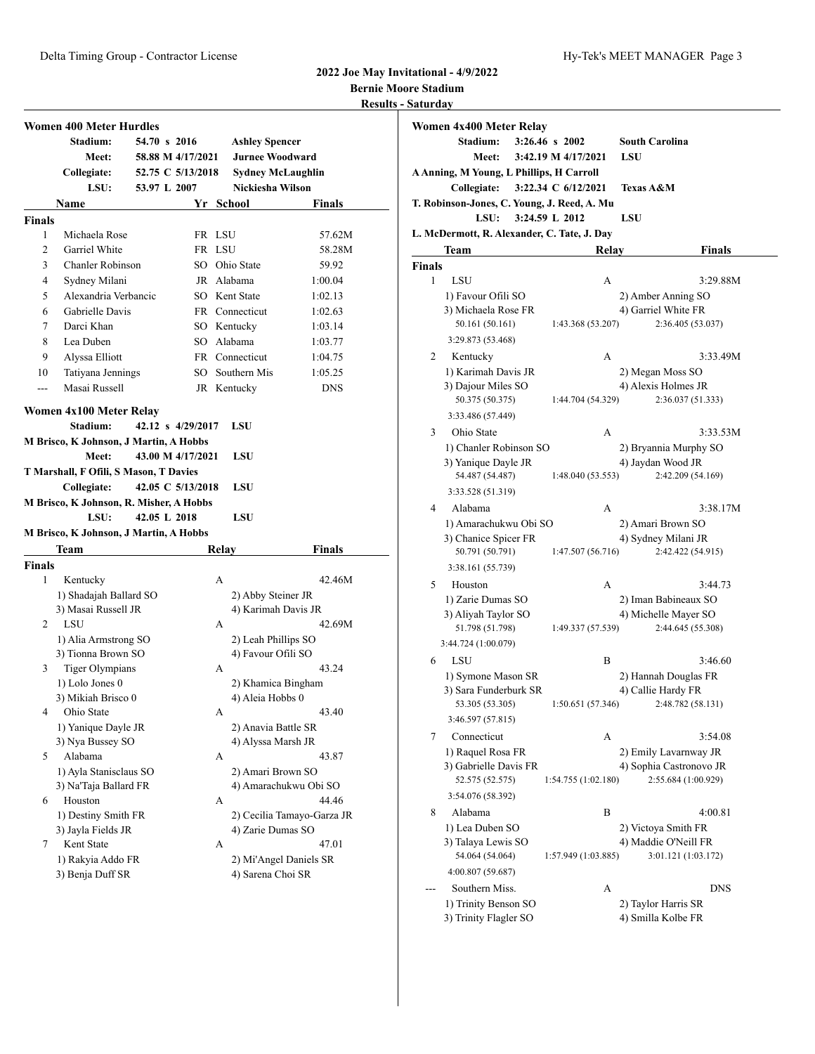## **2022 Joe May Invitational - 4/9/2022**

**Bernie Moore Stadium**

**Results - Saturday**

|                | <b>Women 400 Meter Hurdles</b><br>54.70 s 2016<br>Stadium:<br>Meet: | 58.88 M 4/17/2021 | <b>Ashley Spencer</b><br><b>Jurnee Woodward</b> |                            | Women                |
|----------------|---------------------------------------------------------------------|-------------------|-------------------------------------------------|----------------------------|----------------------|
|                | Collegiate:                                                         | 52.75 C 5/13/2018 | <b>Sydney McLaughlin</b>                        |                            | A Anning             |
|                | LSU:<br>53.97 L 2007<br>Name                                        |                   | Nickiesha Wilson                                | Finals                     | T. Robin             |
| <b>Finals</b>  |                                                                     | Yr School         |                                                 |                            |                      |
| 1              | Michaela Rose                                                       | FR LSU            |                                                 | 57.62M                     | L. McDe              |
| 2              | Garriel White                                                       | FR LSU            |                                                 | 58.28M                     | Т                    |
| 3              | Chanler Robinson                                                    |                   | SO Ohio State                                   | 59.92                      | <b>Finals</b>        |
| $\overline{4}$ | Sydney Milani                                                       | JR Alabama        |                                                 | 1:00.04                    | 1                    |
| 5              | Alexandria Verbancic                                                |                   | SO Kent State                                   | 1:02.13                    | 1                    |
| 6              | Gabrielle Davis                                                     |                   | FR Connecticut                                  | 1:02.63                    | 3)                   |
| 7              | Darci Khan                                                          |                   | SO Kentucky                                     | 1:03.14                    |                      |
| 8              | Lea Duben                                                           | SO Alabama        |                                                 | 1:03.77                    |                      |
| 9              | Alyssa Elliott                                                      |                   | FR Connecticut                                  | 1:04.75                    | 2                    |
| 10             | Tatiyana Jennings                                                   |                   | SO Southern Mis                                 | 1:05.25                    | 1                    |
| $\overline{a}$ | Masai Russell                                                       |                   | JR Kentucky                                     | <b>DNS</b>                 | 3)                   |
|                |                                                                     |                   |                                                 |                            |                      |
|                | Women 4x100 Meter Relay                                             | 42.12 s 4/29/2017 |                                                 |                            |                      |
|                | Stadium:                                                            |                   | LSU                                             |                            | 3                    |
|                | M Brisco, K Johnson, J Martin, A Hobbs<br>Meet:                     | 43.00 M 4/17/2021 | <b>LSU</b>                                      |                            | 1                    |
|                |                                                                     |                   |                                                 |                            | $3^{\circ}$          |
|                | T Marshall, F Ofili, S Mason, T Davies<br>Collegiate:               | 42.05 C 5/13/2018 | <b>LSU</b>                                      |                            |                      |
|                | M Brisco, K Johnson, R. Misher, A Hobbs                             |                   |                                                 |                            |                      |
|                | LSU:<br>42.05 L 2018                                                |                   | LSU                                             |                            | 4                    |
|                | M Brisco, K Johnson, J Martin, A Hobbs                              |                   |                                                 |                            | 1                    |
|                | Team                                                                | Relay             |                                                 | Finals                     | $3^{\circ}$          |
| <b>Finals</b>  |                                                                     |                   |                                                 |                            | ŝ                    |
| 1              | Kentucky                                                            | $\mathsf{A}$      |                                                 | 42.46M                     |                      |
|                | 1) Shadajah Ballard SO                                              |                   | 2) Abby Steiner JR                              |                            | 5                    |
|                | 3) Masai Russell JR                                                 |                   | 4) Karimah Davis JR                             |                            | 1                    |
| $\overline{2}$ | LSU                                                                 | $\mathsf{A}$      |                                                 | 42.69M                     | 3)                   |
|                | 1) Alia Armstrong SO                                                |                   | 2) Leah Phillips SO                             |                            | 3:4                  |
|                | 3) Tionna Brown SO                                                  |                   | 4) Favour Ofili SO                              |                            |                      |
| 3              | <b>Tiger Olympians</b>                                              | A                 |                                                 | 43.24                      | 6                    |
|                | 1) Lolo Jones 0                                                     |                   | 2) Khamica Bingham                              |                            | 1<br>3)              |
|                | 3) Mikiah Brisco 0                                                  |                   | 4) Aleia Hobbs 0                                |                            |                      |
| 4              | Ohio State                                                          | А                 |                                                 | 43.40                      |                      |
|                | 1) Yanique Dayle JR                                                 |                   | 2) Anavia Battle SR                             |                            | 7                    |
|                | 3) Nya Bussey SO                                                    |                   | 4) Alyssa Marsh JR                              |                            | 1                    |
| 5              | Alabama                                                             | А                 |                                                 | 43.87                      | $\mathbf{3}^{\circ}$ |
|                | 1) Ayla Stanisclaus SO                                              |                   | 2) Amari Brown SO                               |                            |                      |
|                | 3) Na'Taja Ballard FR                                               |                   | 4) Amarachukwu Obi SO                           |                            |                      |
| 6              | Houston                                                             | А                 |                                                 | 44.46                      | 8                    |
|                | 1) Destiny Smith FR                                                 |                   |                                                 | 2) Cecilia Tamayo-Garza JR | 1                    |
| 7              | 3) Jayla Fields JR<br>Kent State                                    | А                 | 4) Zarie Dumas SO                               | 47.01                      | 3)                   |
|                | 1) Rakyia Addo FR                                                   |                   | 2) Mi'Angel Daniels SR                          |                            |                      |
|                | 3) Benja Duff SR                                                    |                   | 4) Sarena Choi SR                               |                            |                      |
|                |                                                                     |                   |                                                 |                            |                      |
|                |                                                                     |                   |                                                 |                            |                      |

|        | Women 4x400 Meter Relay                       |                     |                                           |
|--------|-----------------------------------------------|---------------------|-------------------------------------------|
|        | Stadium:                                      | 3:26.46 s 2002      | <b>South Carolina</b>                     |
|        | Meet:                                         | 3:42.19 M 4/17/2021 | LSU                                       |
|        | A Anning, M Young, L Phillips, H Carroll      |                     |                                           |
|        | Collegiate:                                   | 3:22.34 C 6/12/2021 | Texas A&M                                 |
|        | T. Robinson-Jones, C. Young, J. Reed, A. Mu   |                     |                                           |
|        | LSU:                                          | 3:24.59 L 2012      | LSU                                       |
|        | L. McDermott, R. Alexander, C. Tate, J. Day   |                     |                                           |
|        | Team                                          | Relay               | <b>Finals</b>                             |
| Finals |                                               |                     |                                           |
| 1      | LSU                                           | А                   | 3:29.88M                                  |
|        | 1) Favour Ofili SO                            |                     | 2) Amber Anning SO                        |
|        | 3) Michaela Rose FR<br>50.161 (50.161)        | 1:43.368 (53.207)   | 4) Garriel White FR<br>2:36.405 (53.037)  |
|        | 3:29.873 (53.468)                             |                     |                                           |
|        |                                               |                     |                                           |
| 2      | Kentucky<br>1) Karimah Davis JR               | А                   | 3:33.49M<br>2) Megan Moss SO              |
|        | 3) Dajour Miles SO                            |                     | 4) Alexis Holmes JR                       |
|        | 50.375 (50.375)                               | 1:44.704 (54.329)   | 2:36.037 (51.333)                         |
|        | 3:33.486 (57.449)                             |                     |                                           |
| 3      | Ohio State                                    | А                   | 3:33.53M                                  |
|        | 1) Chanler Robinson SO                        |                     | 2) Bryannia Murphy SO                     |
|        | 3) Yanique Dayle JR                           |                     | 4) Jaydan Wood JR                         |
|        | 54.487 (54.487)                               | 1:48.040 (53.553)   | 2:42.209 (54.169)                         |
|        | 3:33.528 (51.319)                             |                     |                                           |
| 4      | Alabama                                       | А                   | 3:38.17M                                  |
|        | 1) Amarachukwu Obi SO                         |                     | 2) Amari Brown SO                         |
|        | 3) Chanice Spicer FR                          |                     | 4) Sydney Milani JR                       |
|        | 50.791 (50.791)                               | 1:47.507(56.716)    | 2:42.422 (54.915)                         |
|        | 3:38.161 (55.739)                             |                     |                                           |
| 5      | Houston                                       | А                   | 3:44.73                                   |
|        | 1) Zarie Dumas SO                             |                     | 2) Iman Babineaux SO                      |
|        | 3) Aliyah Taylor SO<br>51.798 (51.798)        | 1:49.337 (57.539)   | 4) Michelle Mayer SO<br>2:44.645 (55.308) |
|        | 3:44.724 (1:00.079)                           |                     |                                           |
| 6      | LSU                                           | B                   | 3:46.60                                   |
|        | 1) Symone Mason SR                            |                     | 2) Hannah Douglas FR                      |
|        | 3) Sara Funderburk SR                         |                     | 4) Callie Hardy FR                        |
|        | 53.305 (53.305)                               | 1:50.651 (57.346)   | 2:48.782 (58.131)                         |
|        | 3:46.597 (57.815)                             |                     |                                           |
| 7      | Connecticut                                   | А                   | 3:54.08                                   |
|        | 1) Raquel Rosa FR                             |                     | 2) Emily Lavarnway JR                     |
|        | 3) Gabrielle Davis FR                         |                     | 4) Sophia Castronovo JR                   |
|        | 52.575 (52.575)                               | 1:54.755 (1:02.180) | 2:55.684 (1:00.929)                       |
|        | 3:54.076 (58.392)                             |                     |                                           |
| 8      | Alabama                                       | B                   | 4:00.81                                   |
|        | 1) Lea Duben SO                               |                     | 2) Victoya Smith FR                       |
|        | 3) Talaya Lewis SO                            |                     | 4) Maddie O'Neill FR                      |
|        | 54.064 (54.064)                               | 1:57.949 (1:03.885) | 3:01.121 (1:03.172)                       |
|        | 4:00.807 (59.687)                             |                     |                                           |
|        | Southern Miss.                                | А                   | DNS                                       |
|        | 1) Trinity Benson SO<br>3) Trinity Flagler SO |                     | 2) Taylor Harris SR<br>4) Smilla Kolbe FR |
|        |                                               |                     |                                           |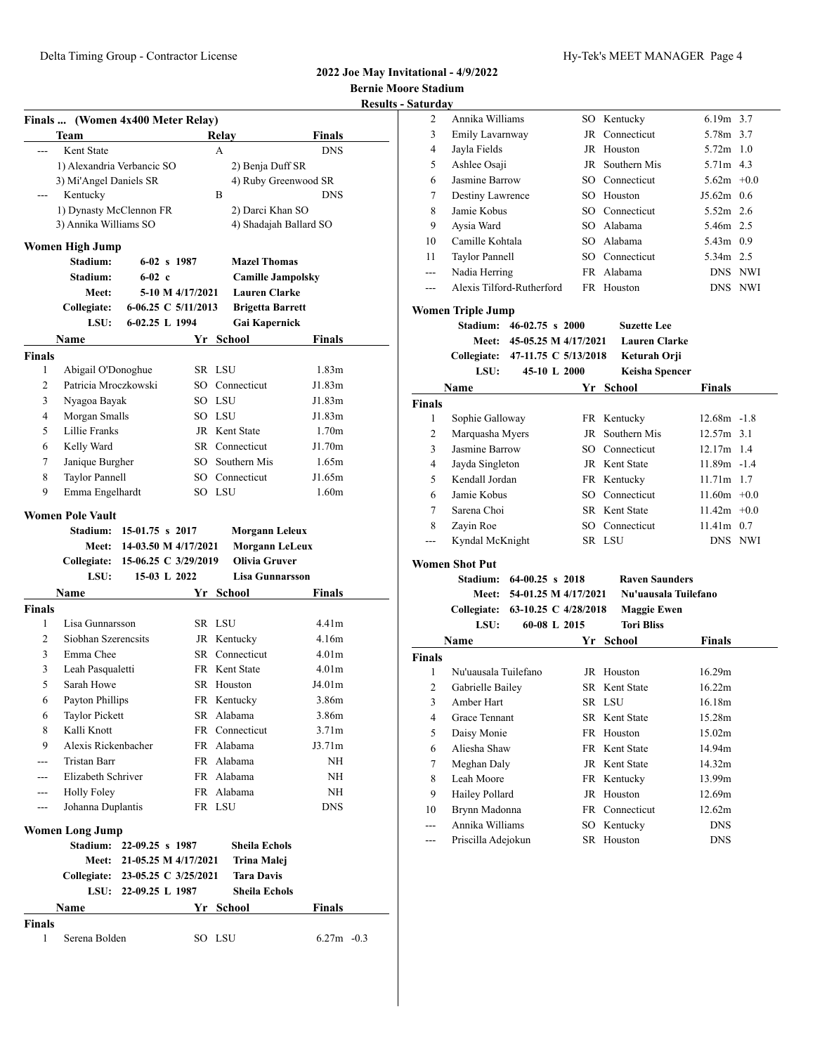|                    |                                    |                            |                      |                           | <u>kesun</u>      |
|--------------------|------------------------------------|----------------------------|----------------------|---------------------------|-------------------|
|                    | Finals  (Women 4x400 Meter Relay)  |                            |                      |                           |                   |
|                    | Team                               |                            |                      | <b>Relay</b>              | Finals            |
| ---                | Kent State                         |                            |                      | A                         | <b>DNS</b>        |
|                    | 1) Alexandria Verbancic SO         |                            |                      | 2) Benja Duff SR          |                   |
| ---                | 3) Mi'Angel Daniels SR<br>Kentucky |                            |                      | 4) Ruby Greenwood SR<br>B | <b>DNS</b>        |
|                    | 1) Dynasty McClennon FR            |                            |                      | 2) Darci Khan SO          |                   |
|                    | 3) Annika Williams SO              |                            |                      | 4) Shadajah Ballard SO    |                   |
|                    |                                    |                            |                      |                           |                   |
|                    | Women High Jump                    |                            |                      |                           |                   |
|                    | Stadium:                           |                            | $6-02$ s 1987        | <b>Mazel Thomas</b>       |                   |
|                    | Stadium:                           | $6-02$ c                   |                      | <b>Camille Jampolsky</b>  |                   |
|                    | Meet:                              |                            | 5-10 M 4/17/2021     | <b>Lauren Clarke</b>      |                   |
|                    | Collegiate:                        |                            | 6-06.25 C 5/11/2013  | <b>Brigetta Barrett</b>   |                   |
|                    | LSU:                               | 6-02.25 L 1994             |                      | Gai Kapernick             |                   |
|                    | Name                               |                            |                      | Yr School                 | Finals            |
| Finals             |                                    |                            |                      |                           |                   |
| 1                  | Abigail O'Donoghue                 |                            |                      | SR LSU                    | 1.83 <sub>m</sub> |
| 2                  | Patricia Mroczkowski               |                            |                      | SO Connecticut            | J1.83m            |
| 3                  | Nyagoa Bayak                       |                            |                      | SO LSU                    | J1.83m            |
| 4                  | Morgan Smalls                      |                            |                      | SO LSU                    | J1.83m            |
| 5                  | Lillie Franks                      |                            |                      | JR Kent State             | 1.70 <sub>m</sub> |
| 6                  | Kelly Ward                         |                            |                      | SR Connecticut            | J1.70m            |
| 7                  | Janique Burgher                    |                            |                      | SO Southern Mis           | 1.65m             |
| 8                  | <b>Taylor Pannell</b>              |                            |                      | SO Connecticut            | J1.65m            |
| 9                  | Emma Engelhardt                    |                            |                      | SO LSU                    | 1.60 <sub>m</sub> |
|                    | <b>Women Pole Vault</b>            |                            |                      |                           |                   |
|                    | <b>Stadium:</b>                    | 15-01.75 s 2017            |                      | Morgann Leleux            |                   |
|                    | <b>Meet:</b>                       |                            | 14-03.50 M 4/17/2021 | <b>Morgann LeLeux</b>     |                   |
|                    | Collegiate:                        |                            | 15-06.25 C 3/29/2019 | <b>Olivia Gruver</b>      |                   |
|                    |                                    |                            |                      | <b>Lisa Gunnarsson</b>    |                   |
|                    | LSU:                               | 15-03 L 2022               |                      |                           |                   |
|                    | Name                               |                            |                      | Yr School                 | Finals            |
|                    |                                    |                            |                      |                           |                   |
| 1                  | Lisa Gunnarsson                    |                            |                      | SR LSU                    | 4.41 <sub>m</sub> |
| 2                  | Siobhan Szerencsits                |                            |                      | JR Kentucky               | 4.16m             |
| 3                  | Emma Chee                          |                            |                      | SR Connecticut            | 4.01 <sub>m</sub> |
| 3                  | Leah Pasqualetti                   |                            |                      | FR Kent State             | 4.01 <sub>m</sub> |
| 5                  | Sarah Howe                         |                            |                      | SR Houston                | J4.01m            |
| 6                  | Payton Phillips                    |                            |                      | FR Kentucky               | 3.86m             |
| 6                  | <b>Taylor Pickett</b>              |                            |                      | SR Alabama                | 3.86m             |
| 8                  | Kalli Knott                        |                            |                      | FR Connecticut            | 3.71 <sub>m</sub> |
| 9                  | Alexis Rickenbacher                |                            |                      | FR Alabama                | J3.71m            |
| $---$              | <b>Tristan Barr</b>                |                            |                      | FR Alabama                | ΝH                |
|                    | Elizabeth Schriver                 |                            |                      | FR Alabama                | NΗ                |
| ---                | <b>Holly Foley</b>                 |                            |                      | FR Alabama                | NΗ                |
| ---                | Johanna Duplantis                  |                            |                      | FR LSU                    | <b>DNS</b>        |
|                    |                                    |                            |                      |                           |                   |
|                    | <b>Women Long Jump</b>             |                            |                      |                           |                   |
|                    |                                    | Stadium: 22-09.25 s 1987   |                      | <b>Sheila Echols</b>      |                   |
|                    |                                    | Meet: 21-05.25 M 4/17/2021 |                      | <b>Trina Malej</b>        |                   |
|                    | Collegiate: 23-05.25 C 3/25/2021   |                            |                      | <b>Tara Davis</b>         |                   |
|                    |                                    | LSU: 22-09.25 L 1987       |                      | <b>Sheila Echols</b>      |                   |
| Finals             | Name                               |                            |                      | Yr School                 | Finals            |
| <b>Finals</b><br>1 | Serena Bolden                      |                            |                      | SO LSU                    | $6.27m - 0.3$     |

| Saturday       |                           |                            |  |    |                              |                |         |
|----------------|---------------------------|----------------------------|--|----|------------------------------|----------------|---------|
| 2              | Annika Williams           |                            |  |    | SO Kentucky                  | $6.19m$ 3.7    |         |
| 3              | Emily Lavarnway           |                            |  |    | JR Connecticut               | 5.78m 3.7      |         |
| 4              | Jayla Fields              |                            |  |    | JR Houston                   | $5.72m$ 1.0    |         |
| 5              | Ashlee Osaji              |                            |  |    | JR Southern Mis              | 5.71m 4.3      |         |
| 6              | Jasmine Barrow            |                            |  |    | SO Connecticut               | $5.62m + 0.0$  |         |
| 7              | Destiny Lawrence          |                            |  |    | SO Houston                   | $J5.62m$ 0.6   |         |
| 8              | Jamie Kobus               |                            |  |    | SO Connecticut               | 5.52m 2.6      |         |
| 9              | Aysia Ward                |                            |  |    | SO Alabama                   | 5.46m 2.5      |         |
| 10             | Camille Kohtala           |                            |  |    | SO Alabama                   | $5.43m$ 0.9    |         |
|                |                           |                            |  |    |                              | 5.34m 2.5      |         |
| 11             | <b>Taylor Pannell</b>     |                            |  |    | SO Connecticut<br>FR Alabama |                |         |
| ---            | Nadia Herring             |                            |  |    |                              |                | DNS NWI |
| ---            | Alexis Tilford-Rutherford |                            |  |    | FR Houston                   |                | DNS NWI |
|                | Women Triple Jump         |                            |  |    |                              |                |         |
|                | Stadium:                  | $46-02.75$ s 2000          |  |    | <b>Suzette Lee</b>           |                |         |
|                |                           | Meet: 45-05.25 M 4/17/2021 |  |    | <b>Lauren Clarke</b>         |                |         |
|                | Collegiate:               | 47-11.75 C 5/13/2018       |  |    | Keturah Orji                 |                |         |
|                | LSU:                      | 45-10 L 2000               |  |    | Keisha Spencer               |                |         |
|                | Name                      |                            |  | Yr | <b>School</b>                | Finals         |         |
| <b>Finals</b>  |                           |                            |  |    |                              |                |         |
| 1              | Sophie Galloway           |                            |  |    | FR Kentucky                  | $12.68m - 1.8$ |         |
| 2              | Marquasha Myers           |                            |  |    | JR Southern Mis              | $12.57m$ 3.1   |         |
| 3              | Jasmine Barrow            |                            |  |    | SO Connecticut               | $12.17m$ 1.4   |         |
| 4              | Jayda Singleton           |                            |  |    | JR Kent State                | 11.89m -1.4    |         |
| 5              | Kendall Jordan            |                            |  |    | FR Kentucky                  | $11.71m$ 1.7   |         |
| 6              | Jamie Kobus               |                            |  |    | SO Connecticut               | $11.60m + 0.0$ |         |
| 7              | Sarena Choi               |                            |  |    | SR Kent State                | $11.42m +0.0$  |         |
| 8              | Zayin Roe                 |                            |  |    | SO Connecticut               | 11.41m 0.7     |         |
| ---            |                           |                            |  |    | SR LSU                       |                | DNS NWI |
|                | Kyndal McKnight           |                            |  |    |                              |                |         |
|                | <b>Women Shot Put</b>     |                            |  |    |                              |                |         |
|                | Stadium:                  | $64-00.25$ s 2018          |  |    | <b>Raven Saunders</b>        |                |         |
|                | <b>Meet:</b>              | 54-01.25 M 4/17/2021       |  |    | Nu'uausala Tuilefano         |                |         |
|                | Collegiate:               | 63-10.25 C 4/28/2018       |  |    | <b>Maggie Ewen</b>           |                |         |
|                | LSU:                      | 60-08 L 2015               |  |    | <b>Tori Bliss</b>            |                |         |
|                | Name                      |                            |  | Yr | <b>School</b>                | <b>Finals</b>  |         |
| <b>Finals</b>  |                           |                            |  |    |                              |                |         |
| 1              | Nu'uausala Tuilefano      |                            |  |    | JR Houston                   | 16.29m         |         |
| $\overline{c}$ | Gabrielle Bailey          |                            |  |    | SR Kent State                | 16.22m         |         |
| 3              | Amber Hart                |                            |  |    | SR LSU                       | 16.18m         |         |
| 4              | Grace Tennant             |                            |  |    | SR Kent State                | 15.28m         |         |
| 5              | Daisy Monie               |                            |  |    | FR Houston                   | 15.02m         |         |
| 6              | Aliesha Shaw              |                            |  |    | FR Kent State                | 14.94m         |         |
| 7              | Meghan Daly               |                            |  |    | JR Kent State                | 14.32m         |         |
| 8              | Leah Moore                |                            |  |    | FR Kentucky                  | 13.99m         |         |
| 9              | Hailey Pollard            |                            |  |    | JR Houston                   | 12.69m         |         |
| 10             | Brynn Madonna             |                            |  |    | FR Connecticut               | 12.62m         |         |
|                | Annika Williams           |                            |  |    | SO Kentucky                  | <b>DNS</b>     |         |
| ---            | Priscilla Adejokun        |                            |  |    | SR Houston                   | DNS            |         |
|                |                           |                            |  |    |                              |                |         |
|                |                           |                            |  |    |                              |                |         |
|                |                           |                            |  |    |                              |                |         |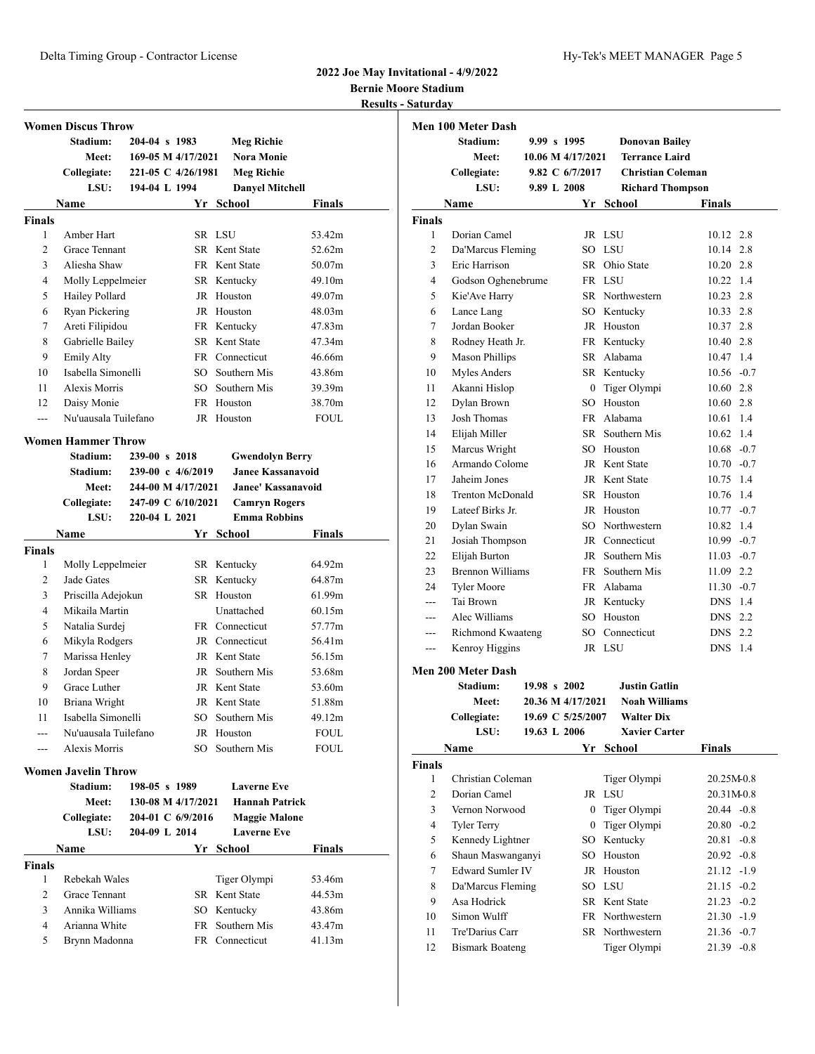Delta Timing Group - Contractor License Hy-Tek's MEET MANAGER Page 5

# **2022 Joe May Invitational - 4/9/2022 Bernie Moore Stadium**

**Results - Saturday**

|                |                            |               |                    |                                            | <b>Kesu</b> n |
|----------------|----------------------------|---------------|--------------------|--------------------------------------------|---------------|
|                | <b>Women Discus Throw</b>  |               |                    |                                            |               |
|                | Stadium:                   | 204-04 s 1983 |                    | <b>Meg Richie</b>                          |               |
|                | <b>Meet:</b>               |               | 169-05 M 4/17/2021 | <b>Nora Monie</b>                          |               |
|                | Collegiate:                |               | 221-05 C 4/26/1981 | <b>Meg Richie</b>                          |               |
|                | LSU:                       | 194-04 L 1994 |                    | <b>Danyel Mitchell</b>                     |               |
|                | Name                       |               |                    | Yr School                                  | <b>Finals</b> |
| <b>Finals</b>  |                            |               |                    |                                            |               |
| 1              | Amber Hart                 |               |                    | SR LSU                                     | 53.42m        |
| 2              | <b>Grace Tennant</b>       |               |                    | SR Kent State                              | 52.62m        |
| 3              | Aliesha Shaw               |               |                    | FR Kent State                              | 50.07m        |
| 4              | Molly Leppelmeier          |               |                    | SR Kentucky                                | 49.10m        |
| 5              | Hailey Pollard             |               |                    | JR Houston                                 | 49.07m        |
| 6              | Ryan Pickering             |               |                    | JR Houston                                 | 48.03m        |
| 7              | Areti Filipidou            |               |                    | FR Kentucky                                | 47.83m        |
| 8              | Gabrielle Bailey           |               |                    | SR Kent State                              | 47.34m        |
| 9              | <b>Emily Alty</b>          |               |                    | FR Connecticut                             | 46.66m        |
| 10             | Isabella Simonelli         |               |                    | SO Southern Mis                            | 43.86m        |
| 11             | <b>Alexis Morris</b>       |               | SO -               | Southern Mis                               | 39.39m        |
| 12             | Daisy Monie                |               |                    | FR Houston                                 | 38.70m        |
| $\overline{a}$ | Nu'uausala Tuilefano       |               |                    | JR Houston                                 | FOUL          |
|                |                            |               |                    |                                            |               |
|                | <b>Women Hammer Throw</b>  |               |                    |                                            |               |
|                | Stadium:                   | 239-00 s 2018 |                    | <b>Gwendolyn Berry</b>                     |               |
|                | Stadium:                   |               | 239-00 c 4/6/2019  | <b>Janee Kassanavoid</b>                   |               |
|                | <b>Meet:</b>               |               | 244-00 M 4/17/2021 | <b>Janee' Kassanavoid</b>                  |               |
|                | Collegiate:                |               | 247-09 C 6/10/2021 | <b>Camryn Rogers</b>                       |               |
|                | LSU:                       | 220-04 L 2021 |                    | <b>Emma Robbins</b>                        |               |
|                | Name                       |               |                    | Yr School                                  | Finals        |
| <b>Finals</b>  |                            |               |                    |                                            |               |
| 1              | Molly Leppelmeier          |               |                    | SR Kentucky                                | 64.92m        |
| 2              | Jade Gates                 |               |                    | SR Kentucky                                | 64.87m        |
| 3              | Priscilla Adejokun         |               |                    | SR Houston                                 | 61.99m        |
| 4              | Mikaila Martin             |               |                    | Unattached                                 | 60.15m        |
| 5              | Natalia Surdej             |               |                    | FR Connecticut                             | 57.77m        |
| 6              | Mikyla Rodgers             |               |                    | JR Connecticut                             | 56.41m        |
| 7              | Marissa Henley             |               |                    | JR Kent State                              | 56.15m        |
| 8              | Jordan Speer               |               |                    | JR Southern Mis                            | 53.68m        |
| 9              | Grace Luther               |               |                    | JR Kent State                              | 53.60m        |
| 10             | Briana Wright              |               |                    | JR Kent State                              | 51.88m        |
| 11             | Isabella Simonelli         |               |                    | SO Southern Mis                            | 49.12m        |
| ---            | Nu'uausala Tuilefano       |               |                    | JR Houston                                 | <b>FOUL</b>   |
| ---            | Alexis Morris              |               |                    | SO Southern Mis                            | <b>FOUL</b>   |
|                | <b>Women Javelin Throw</b> |               |                    |                                            |               |
|                | Stadium:                   | 198-05 s 1989 |                    | <b>Laverne Eve</b>                         |               |
|                | <b>Meet:</b>               |               | 130-08 M 4/17/2021 | <b>Hannah Patrick</b>                      |               |
|                |                            |               |                    |                                            |               |
|                | Collegiate:<br>LSU:        | 204-09 L 2014 | 204-01 C 6/9/2016  | <b>Maggie Malone</b><br><b>Laverne Eve</b> |               |
|                |                            |               |                    |                                            |               |
|                | Name                       |               |                    | Yr School                                  | <b>Finals</b> |
| <b>Finals</b>  |                            |               |                    |                                            |               |
| 1              | Rebekah Wales              |               |                    | Tiger Olympi                               | 53.46m        |
| 2              | Grace Tennant              |               |                    | SR Kent State                              | 44.53m        |
| 3              | Annika Williams            |               |                    | SO Kentucky                                | 43.86m        |
| $\overline{4}$ | Arianna White              |               |                    | FR Southern Mis                            | 43.47m        |
| 5              | Brynn Madonna              |               |                    | FR Connecticut                             | 41.13m        |
|                |                            |               |                    |                                            |               |

|                | Men 100 Meter Dash        |              |              |                   |                          |                   |
|----------------|---------------------------|--------------|--------------|-------------------|--------------------------|-------------------|
|                | Stadium:                  |              | 9.99 s 1995  |                   | <b>Donovan Bailey</b>    |                   |
|                | Meet:                     |              |              | 10.06 M 4/17/2021 | <b>Terrance Laird</b>    |                   |
|                | Collegiate:               |              |              | 9.82 C 6/7/2017   | <b>Christian Coleman</b> |                   |
|                | LSU:                      |              | 9.89 L 2008  |                   | <b>Richard Thompson</b>  |                   |
|                | Name                      |              |              |                   | Yr School                | Finals            |
| <b>Finals</b>  |                           |              |              |                   |                          |                   |
| 1              | Dorian Camel              |              |              |                   | JR LSU                   | 10.12 2.8         |
| $\overline{c}$ | Da'Marcus Fleming         |              |              |                   | SO LSU                   | 10.14 2.8         |
| 3              | Eric Harrison             |              |              |                   | SR Ohio State            | 10.20 2.8         |
| 4              | Godson Oghenebrume        |              |              |                   | FR LSU                   | 10.22 1.4         |
| 5              | Kie'Ave Harry             |              |              |                   | SR Northwestern          | 10.23 2.8         |
| 6              | Lance Lang                |              |              |                   | SO Kentucky              | 10.33 2.8         |
| 7              | Jordan Booker             |              |              |                   | JR Houston               | 10.37 2.8         |
| 8              | Rodney Heath Jr.          |              |              |                   | FR Kentucky              | 10.40 2.8         |
| 9              | <b>Mason Phillips</b>     |              |              |                   | SR Alabama               | 10.47 1.4         |
| 10             | Myles Anders              |              |              |                   | SR Kentucky              | $10.56 - 0.7$     |
| 11             | Akanni Hislop             |              |              | $\mathbf{0}$      | Tiger Olympi             | 10.60 2.8         |
| 12             | Dylan Brown               |              |              |                   | SO Houston               | 10.60 2.8         |
| 13             | Josh Thomas               |              |              |                   | FR Alabama               | $10.61$ 1.4       |
| 14             | Elijah Miller             |              |              |                   | SR Southern Mis          | 10.62 1.4         |
| 15             | Marcus Wright             |              |              |                   | SO Houston               | $10.68 - 0.7$     |
| 16             | Armando Colome            |              |              |                   | JR Kent State            | $10.70 - 0.7$     |
| 17             | Jaheim Jones              |              |              |                   | JR Kent State            | 10.75 1.4         |
| 18             | Trenton McDonald          |              |              |                   | SR Houston               | 10.76 1.4         |
| 19             | Lateef Birks Jr.          |              |              |                   | JR Houston               | $10.77 - 0.7$     |
| 20             | Dylan Swain               |              |              |                   | SO Northwestern          | 10.82 1.4         |
| 21             | Josiah Thompson           |              |              |                   | JR Connecticut           | $10.99 - 0.7$     |
| 22             | Elijah Burton             |              |              |                   | JR Southern Mis          | $11.03 - 0.7$     |
| 23             | <b>Brennon Williams</b>   |              |              |                   | FR Southern Mis          | 11.09 2.2         |
| 24             | <b>Tyler Moore</b>        |              |              |                   | FR Alabama               | $11.30 - 0.7$     |
| $\overline{a}$ | Tai Brown                 |              |              |                   | JR Kentucky              | DNS 1.4           |
| ---            | Alec Williams             |              |              |                   | SO Houston               | DNS 2.2           |
| ---            | <b>Richmond Kwaateng</b>  |              |              | SO.               | Connecticut              | DNS 2.2           |
| ---            | Kenroy Higgins            |              |              |                   | JR LSU                   | <b>DNS</b><br>1.4 |
|                | <b>Men 200 Meter Dash</b> |              |              |                   |                          |                   |
|                | Stadium:                  | 19.98 s 2002 |              |                   | <b>Justin Gatlin</b>     |                   |
|                | Meet:                     |              |              | 20.36 M 4/17/2021 | <b>Noah Williams</b>     |                   |
|                | Collegiate:               |              |              | 19.69 C 5/25/2007 | <b>Walter Dix</b>        |                   |
|                | LSU:                      |              | 19.63 L 2006 |                   | <b>Xavier Carter</b>     |                   |
|                | Name                      |              |              | Yr                | School                   | <b>Finals</b>     |
| <b>Finals</b>  |                           |              |              |                   |                          |                   |
| 1              | Christian Coleman         |              |              |                   | Tiger Olympi             | 20.25M-0.8        |
| 2              | Dorian Camel              |              |              |                   | JR LSU                   | 20.31M-0.8        |
| 3              | Vernon Norwood            |              |              |                   | 0 Tiger Olympi           | 20.44 -0.8        |
| 4              | Tyler Terry               |              |              |                   | 0 Tiger Olympi           | $20.80 - 0.2$     |
| 5              | Kennedy Lightner          |              |              |                   | SO Kentucky              | 20.81<br>$-0.8$   |
| 6              | Shaun Maswanganyi         |              |              |                   | SO Houston               | $20.92 -0.8$      |
| 7              | <b>Edward Sumler IV</b>   |              |              |                   | JR Houston               | $21.12 -1.9$      |
| 8              | Da'Marcus Fleming         |              |              |                   | SO LSU                   | $21.15 -0.2$      |
|                |                           |              |              |                   |                          |                   |
| 9              | Asa Hodrick               |              |              |                   | SR Kent State            | $21.23 -0.2$      |
| 10             | Simon Wulff               |              |              |                   | FR Northwestern          | $21.30 - 1.9$     |
| 11             | Tre'Darius Carr           |              |              |                   | SR Northwestern          | $21.36 - 0.7$     |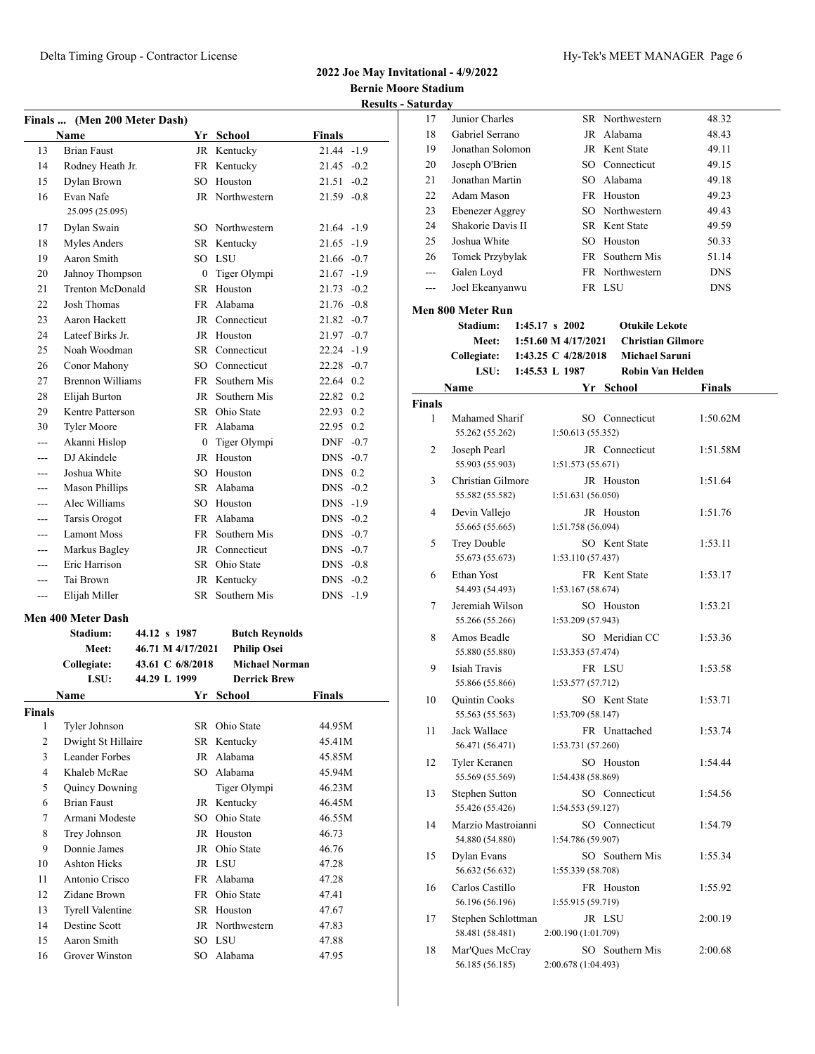#### **2022 Joe May Invitational - 4/9/2022 Bernie Moore Stadium Results - Saturday**

|                |                              |           |                 |               | 18030163 = Dat |
|----------------|------------------------------|-----------|-----------------|---------------|----------------|
|                | Finals  (Men 200 Meter Dash) |           |                 |               |                |
|                | <b>Name</b>                  |           | Yr School       | <b>Finals</b> |                |
| 13             | <b>Brian Faust</b>           |           | JR Kentucky     | $21.44 -1.9$  |                |
| 14             | Rodney Heath Jr.             |           | FR Kentucky     | $21.45 -0.2$  |                |
| 15             | Dylan Brown                  |           | SO Houston      | $21.51 - 0.2$ |                |
| 16             | Evan Nafe<br>25.095 (25.095) |           | JR Northwestern | $21.59 - 0.8$ |                |
| 17             | Dylan Swain                  |           | SO Northwestern | $21.64 - 1.9$ |                |
| 18             | Myles Anders                 |           | SR Kentucky     | $21.65 - 1.9$ |                |
| 19             | Aaron Smith                  |           | SO LSU          | $21.66 - 0.7$ |                |
| 20             | Jahnoy Thompson              | 0         | Tiger Olympi    | $21.67 - 1.9$ |                |
| 21             | <b>Trenton McDonald</b>      | SR.       | Houston         | $21.73 - 0.2$ |                |
| 22             | <b>Josh Thomas</b>           |           | FR Alabama      | $21.76 - 0.8$ | M              |
| 23             | Aaron Hackett                |           | JR Connecticut  | $21.82 -0.7$  |                |
| 24             | Lateef Birks Jr.             |           | JR Houston      | $21.97 - 0.7$ |                |
| 25             | Noah Woodman                 |           | SR Connecticut  | $22.24 -1.9$  |                |
| 26             | Conor Mahony                 | $SO^-$    | Connecticut     | $22.28 - 0.7$ |                |
| 27             | <b>Brennon Williams</b>      | FR -      | Southern Mis    | 22.64 0.2     |                |
| 28             | Elijah Burton                | JR        | Southern Mis    | 22.82 0.2     |                |
| 29             | Kentre Patterson             | SR        | Ohio State      | 22.93 0.2     | Fil            |
| 30             | <b>Tyler Moore</b>           |           | FR Alabama      | 22.95 0.2     |                |
| $\overline{a}$ | Akanni Hislop                | 0         | Tiger Olympi    | $DNF -0.7$    |                |
| ---            | DJ Akindele                  |           | JR Houston      | $DNS -0.7$    |                |
| $- - -$        | Joshua White                 | SO.       | Houston         | $DNS$ 0.2     |                |
| $---$          | <b>Mason Phillips</b>        | SR        | Alabama         | $DNS -0.2$    |                |
| ---            | Alec Williams                | SO.       | Houston         | DNS -1.9      |                |
| ---            | <b>Tarsis Orogot</b>         |           | FR Alabama      | $DNS -0.2$    |                |
| ---            | <b>Lamont Moss</b>           | <b>FR</b> | Southern Mis    | $DNS -0.7$    |                |
| ---            | Markus Bagley                |           | JR Connecticut  | $DNS -0.7$    |                |
| $- - -$        | Eric Harrison                | SR        | Ohio State      | DNS -0.8      |                |
| ---            | Tai Brown                    | JR        | Kentucky        | $DNS -0.2$    |                |
| ---            | Elijah Miller                |           | SR Southern Mis | DNS -1.9      |                |
|                | Men 400 Meter Dash           |           |                 |               |                |

### **Me**

|        | Stadium:                | 44.12 s 1987 |                   | <b>Butch Reynolds</b> |        |
|--------|-------------------------|--------------|-------------------|-----------------------|--------|
|        | Meet:                   |              | 46.71 M 4/17/2021 | <b>Philip Osei</b>    |        |
|        | Collegiate:             |              | 43.61 C 6/8/2018  | <b>Michael Norman</b> |        |
|        | LSU:                    | 44.29 L 1999 |                   | <b>Derrick Brew</b>   |        |
|        | Name                    |              | Yr                | School                | Finals |
| Finals |                         |              |                   |                       |        |
| 1      | Tyler Johnson           |              |                   | SR Ohio State         | 44.95M |
| 2      | Dwight St Hillaire      |              |                   | SR Kentucky           | 45.41M |
| 3      | Leander Forbes          |              | JR                | Alabama               | 45.85M |
| 4      | Khaleb McRae            |              | SO                | Alabama               | 45.94M |
| 5      | Quincy Downing          |              |                   | Tiger Olympi          | 46.23M |
| 6      | <b>Brian Faust</b>      |              | JR                | Kentucky              | 46.45M |
| 7      | Armani Modeste          |              | SO.               | Ohio State            | 46.55M |
| 8      | Trey Johnson            |              | JR                | Houston               | 46.73  |
| 9      | Donnie James            |              |                   | JR Ohio State         | 46.76  |
| 10     | <b>Ashton Hicks</b>     |              |                   | JR LSU                | 47.28  |
| 11     | Antonio Crisco          |              | FR.               | Alabama               | 47.28  |
| 12     | Zidane Brown            |              | FR                | Ohio State            | 47.41  |
| 13     | <b>Tyrell Valentine</b> |              | SR                | Houston               | 47.67  |
| 14     | Destine Scott           |              |                   | JR Northwestern       | 47.83  |
| 15     | Aaron Smith             |              | SO                | LSU                   | 47.88  |
| 16     | Grover Winston          |              | SO.               | Alabama               | 47.95  |

| aturday |                                       |                           |                     |                       |                          |            |
|---------|---------------------------------------|---------------------------|---------------------|-----------------------|--------------------------|------------|
| 17      | Junior Charles                        |                           |                     | SR Northwestern       |                          | 48.32      |
| 18      | Gabriel Serrano                       |                           |                     | JR Alabama            |                          | 48.43      |
| 19      | Jonathan Solomon                      |                           |                     | JR Kent State         |                          | 49.11      |
| 20      | Joseph O'Brien                        |                           |                     | SO Connecticut        |                          | 49.15      |
| 21      | Jonathan Martin                       |                           |                     | SO Alabama            |                          | 49.18      |
| 22      | Adam Mason                            |                           |                     | FR Houston            |                          | 49.23      |
| 23      | <b>Ebenezer Aggrey</b>                |                           |                     | SO Northwestern       |                          | 49.43      |
| 24      | Shakorie Davis II                     |                           |                     | SR Kent State         |                          | 49.59      |
| 25      | Joshua White                          |                           |                     | SO Houston            |                          | 50.33      |
| 26      | Tomek Przybylak                       |                           |                     | FR Southern Mis       |                          | 51.14      |
| ---     | Galen Loyd                            |                           |                     | FR Northwestern       |                          | <b>DNS</b> |
| $---$   | Joel Ekeanyanwu                       |                           |                     | FR LSU                |                          | <b>DNS</b> |
|         | Men 800 Meter Run                     |                           |                     |                       |                          |            |
|         | Stadium:                              | $1:45.17 \text{ s } 2002$ |                     | <b>Otukile Lekote</b> |                          |            |
|         | Meet: 1:51.60 M 4/17/2021             |                           |                     |                       | <b>Christian Gilmore</b> |            |
|         | Collegiate:                           | 1:43.25 C 4/28/2018       |                     | <b>Michael Saruni</b> |                          |            |
|         | LSU:                                  | 1:45.53 L 1987            |                     |                       | <b>Robin Van Helden</b>  |            |
|         | Name                                  |                           |                     | Yr School             |                          | Finals     |
| Finals  |                                       |                           |                     |                       |                          |            |
| 1       | Mahamed Sharif<br>55.262 (55.262)     |                           | 1:50.613(55.352)    | SO Connecticut        |                          | 1:50.62M   |
| 2       | Joseph Pearl<br>55.903 (55.903)       |                           | 1:51.573(55.671)    | JR Connecticut        |                          | 1:51.58M   |
| 3       | Christian Gilmore<br>55.582 (55.582)  |                           | 1:51.631 (56.050)   | JR Houston            |                          | 1:51.64    |
| 4       | Devin Vallejo<br>55.665 (55.665)      |                           | 1:51.758 (56.094)   | JR Houston            |                          | 1:51.76    |
| 5       | Trey Double<br>55.673 (55.673)        |                           | 1:53.110 (57.437)   | SO Kent State         |                          | 1:53.11    |
| 6       | Ethan Yost<br>54.493 (54.493)         |                           | 1:53.167 (58.674)   | FR Kent State         |                          | 1:53.17    |
| 7       | Jeremiah Wilson<br>55.266 (55.266)    |                           | 1:53.209 (57.943)   | SO Houston            |                          | 1:53.21    |
| 8       | Amos Beadle<br>55.880 (55.880)        |                           | 1:53.353 (57.474)   | SO Meridian CC        |                          | 1:53.36    |
| 9       | Isiah Travis<br>55.866 (55.866)       |                           | 1:53.577(57.712)    | FR LSU                |                          | 1:53.58    |
| 10      | Quintin Cooks<br>55.563 (55.563)      |                           | 1:53.709 (58.147)   | SO Kent State         |                          | 1:53.71    |
| 11      | Jack Wallace<br>56.471 (56.471)       |                           | 1:53.731 (57.260)   | FR Unattached         |                          | 1:53.74    |
| 12      | Tyler Keranen<br>55.569 (55.569)      |                           | 1:54.438 (58.869)   | SO Houston            |                          | 1:54.44    |
| 13      | Stephen Sutton<br>55.426 (55.426)     |                           | 1:54.553 (59.127)   | SO Connecticut        |                          | 1:54.56    |
| 14      | Marzio Mastroianni<br>54.880 (54.880) |                           | 1:54.786 (59.907)   | SO Connecticut        |                          | 1:54.79    |
| 15      | Dylan Evans<br>56.632 (56.632)        |                           | 1:55.339 (58.708)   | SO Southern Mis       |                          | 1:55.34    |
| 16      | Carlos Castillo<br>56.196 (56.196)    |                           | 1:55.915 (59.719)   | FR Houston            |                          | 1:55.92    |
| 17      | Stephen Schlottman<br>58.481 (58.481) |                           | 2:00.190 (1:01.709) | JR LSU                |                          | 2:00.19    |
| 18      | Mar'Ques McCray<br>56.185 (56.185)    |                           | 2:00.678 (1:04.493) | SO Southern Mis       |                          | 2:00.68    |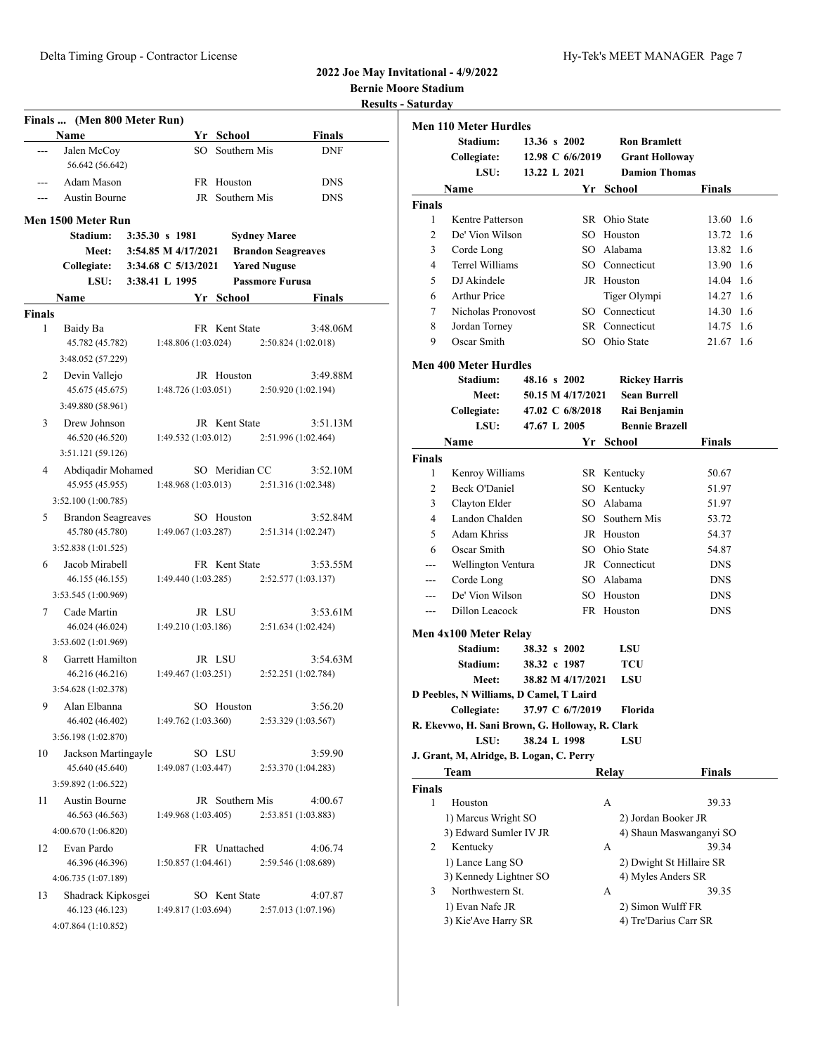## **Results - Saturday Finals ... (Men 800 Meter Run) Name Yr School Finals** Jalen McCoy SO Southern Mis DNF 56.642 (56.642) Adam Mason FR Houston DNS Austin Bourne JR Southern Mis DNS **Men 1500 Meter Run Stadium: 3:35.30 s 1981 Sydney Maree Meet: 3:54.85 M 4/17/2021 Brandon Seagreaves Collegiate: 3:34.68 C 5/13/2021 Yared Nuguse LSU: 3:38.41 L 1995 Passmore Furusa Name Yr School Finals Finals** 1 Baidy Ba FR Kent State 3:48.06M 45.782 (45.782) 1:48.806 (1:03.024) 2:50.824 (1:02.018) 3:48.052 (57.229) 2 Devin Vallejo JR Houston 3:49.88M 45.675 (45.675) 1:48.726 (1:03.051) 2:50.920 (1:02.194) 3:49.880 (58.961) 3 Drew Johnson JR Kent State 3:51.13M 46.520 (46.520) 1:49.532 (1:03.012) 2:51.996 (1:02.464) 3:51.121 (59.126) 4 Abdiqadir Mohamed SO Meridian CC 3:52.10M 45.955 (45.955) 1:48.968 (1:03.013) 2:51.316 (1:02.348) 3:52.100 (1:00.785) 5 Brandon Seagreaves SO Houston 3:52.84M 45.780 (45.780) 1:49.067 (1:03.287) 2:51.314 (1:02.247) 3:52.838 (1:01.525) 6 Jacob Mirabell FR Kent State 3:53.55M 46.155 (46.155) 1:49.440 (1:03.285) 2:52.577 (1:03.137) 3:53.545 (1:00.969) 7 Cade Martin JR LSU 3:53.61M 46.024 (46.024) 1:49.210 (1:03.186) 2:51.634 (1:02.424) 3:53.602 (1:01.969) 8 Garrett Hamilton JR LSU 3:54.63M 46.216 (46.216) 1:49.467 (1:03.251) 2:52.251 (1:02.784) 3:54.628 (1:02.378) 9 Alan Elbanna SO Houston 3:56.20 46.402 (46.402) 1:49.762 (1:03.360) 2:53.329 (1:03.567) 3:56.198 (1:02.870) 10 Jackson Martingayle SO LSU 3:59.90 45.640 (45.640) 1:49.087 (1:03.447) 2:53.370 (1:04.283) 3:59.892 (1:06.522) 11 Austin Bourne JR Southern Mis 4:00.67 46.563 (46.563) 1:49.968 (1:03.405) 2:53.851 (1:03.883) 4:00.670 (1:06.820) 12 Evan Pardo FR Unattached 4:06.74 46.396 (46.396) 1:50.857 (1:04.461) 2:59.546 (1:08.689) 4:06.735 (1:07.189) 13 Shadrack Kipkosgei SO Kent State 4:07.87 46.123 (46.123) 1:49.817 (1:03.694) 2:57.013 (1:07.196) 4:07.864 (1:10.852)

|                | <b>Men 110 Meter Hurdles</b>                    |              |                   |                       |                          |      |
|----------------|-------------------------------------------------|--------------|-------------------|-----------------------|--------------------------|------|
|                | Stadium:                                        | 13.36 s 2002 |                   | <b>Ron Bramlett</b>   |                          |      |
|                | Collegiate:                                     |              | 12.98 C 6/6/2019  | <b>Grant Holloway</b> |                          |      |
|                | LSU:                                            | 13.22 L 2021 |                   | <b>Damion Thomas</b>  |                          |      |
|                | Name                                            |              |                   | Yr School             | Finals                   |      |
| Finals         |                                                 |              |                   |                       |                          |      |
| 1              | Kentre Patterson                                |              |                   | SR Ohio State         | 13.60 1.6                |      |
| 2              | De' Vion Wilson                                 |              |                   | SO Houston            | 13.72                    | -1.6 |
| 3              | Corde Long                                      |              |                   | SO Alabama            | 13.82                    | -1.6 |
| 4              | <b>Terrel Williams</b>                          |              |                   | SO Connecticut        | 13.90 1.6                |      |
| 5              | DJ Akindele                                     |              |                   | JR Houston            | 14.04 1.6                |      |
| 6              | <b>Arthur Price</b>                             |              |                   | Tiger Olympi          | 14.27 1.6                |      |
| 7              | Nicholas Pronovost                              |              |                   | SO Connecticut        | 14.30 1.6                |      |
| 8              | Jordan Torney                                   |              |                   | SR Connecticut        | 14.75 1.6                |      |
| 9              | Oscar Smith                                     |              |                   | SO Ohio State         | 21.67 1.6                |      |
|                | <b>Men 400 Meter Hurdles</b>                    |              |                   |                       |                          |      |
|                | Stadium:                                        | 48.16 s 2002 |                   | <b>Rickey Harris</b>  |                          |      |
|                | Meet:                                           |              | 50.15 M 4/17/2021 | <b>Sean Burrell</b>   |                          |      |
|                | Collegiate:                                     |              | 47.02 C 6/8/2018  | Rai Benjamin          |                          |      |
|                | LSU:                                            | 47.67 L 2005 |                   | <b>Bennie Brazell</b> |                          |      |
|                | Name                                            |              |                   | Yr School             | Finals                   |      |
| Finals         |                                                 |              |                   |                       |                          |      |
| 1              | Kenroy Williams                                 |              |                   | SR Kentucky           | 50.67                    |      |
| $\overline{c}$ | Beck O'Daniel                                   |              |                   | SO Kentucky           | 51.97                    |      |
| 3              | Clayton Elder                                   |              |                   | SO Alabama            | 51.97                    |      |
| 4              | Landon Chalden                                  |              |                   | SO Southern Mis       | 53.72                    |      |
| 5              | <b>Adam Khriss</b>                              |              |                   | JR Houston            | 54.37                    |      |
| 6              | Oscar Smith                                     |              |                   | SO Ohio State         | 54.87                    |      |
| $-$ --         | Wellington Ventura                              |              |                   | JR Connecticut        | <b>DNS</b>               |      |
| ---            | Corde Long                                      |              |                   | SO Alabama            | <b>DNS</b>               |      |
| ---            | De' Vion Wilson                                 |              |                   | SO Houston            | <b>DNS</b>               |      |
| $-$            | Dillon Leacock                                  |              |                   | FR Houston            | <b>DNS</b>               |      |
|                | Men 4x100 Meter Relay                           |              |                   |                       |                          |      |
|                | Stadium:                                        | 38.32 s 2002 |                   | LSU                   |                          |      |
|                | Stadium:                                        | 38.32 c 1987 |                   | TCU                   |                          |      |
|                | Meet:                                           |              | 38.82 M 4/17/2021 | LSU                   |                          |      |
|                | D Peebles, N Williams, D Camel, T Laird         |              |                   |                       |                          |      |
|                | Collegiate:                                     |              | 37.97 C 6/7/2019  | Florida               |                          |      |
|                | R. Ekevwo, H. Sani Brown, G. Holloway, R. Clark |              |                   |                       |                          |      |
|                | LSU:                                            | 38.24 L 1998 |                   | LSU                   |                          |      |
|                | J. Grant, M, Alridge, B. Logan, C. Perry        |              |                   |                       |                          |      |
|                | Team                                            |              |                   | Relay                 | Finals                   |      |
| Finals<br>1    | Houston                                         |              |                   | А                     | 39.33                    |      |
|                | 1) Marcus Wright SO                             |              |                   | 2) Jordan Booker JR   |                          |      |
|                | 3) Edward Sumler IV JR                          |              |                   |                       | 4) Shaun Maswanganyi SO  |      |
| 2              | Kentucky                                        |              |                   | А                     | 39.34                    |      |
|                | 1) Lance Lang SO                                |              |                   |                       | 2) Dwight St Hillaire SR |      |
|                | 3) Kennedy Lightner SO                          |              |                   | 4) Myles Anders SR    |                          |      |
| 3              | Northwestern St.                                |              |                   | A                     | 39.35                    |      |
|                | 1) Evan Nafe JR                                 |              |                   | 2) Simon Wulff FR     |                          |      |
|                | 3) Kie'Ave Harry SR                             |              |                   |                       | 4) Tre'Darius Carr SR    |      |
|                |                                                 |              |                   |                       |                          |      |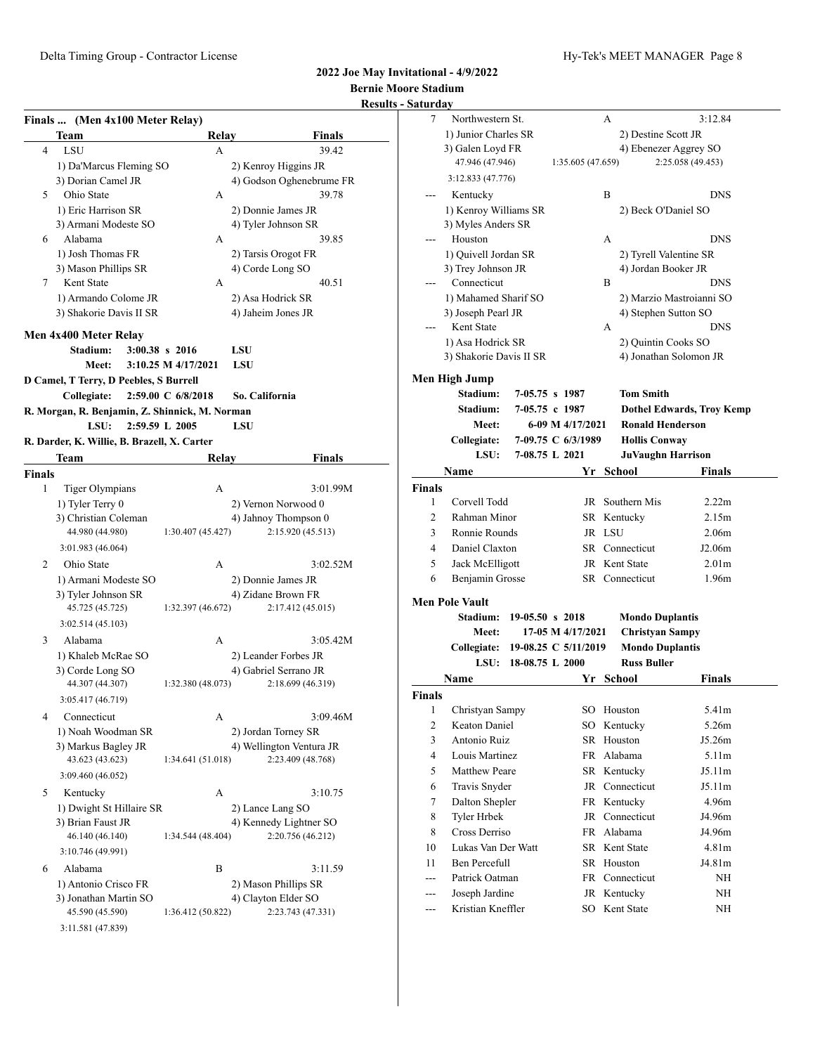# **Results - Sa**

|               | Finals  (Men 4x100 Meter Relay)                |                       |                                               |
|---------------|------------------------------------------------|-----------------------|-----------------------------------------------|
|               | Team                                           | Relay                 | Finals                                        |
| 4             | <b>LSU</b>                                     | А                     | 39.42                                         |
|               | 1) Da'Marcus Fleming SO                        |                       | 2) Kenroy Higgins JR                          |
|               | 3) Dorian Camel JR                             |                       | 4) Godson Oghenebrume FR                      |
| 5             | Ohio State                                     | A                     | 39.78                                         |
|               | 1) Eric Harrison SR                            |                       | 2) Donnie James JR                            |
|               | 3) Armani Modeste SO                           |                       | 4) Tyler Johnson SR                           |
| 6             | Alabama                                        | A                     | 39.85                                         |
|               | 1) Josh Thomas FR<br>3) Mason Phillips SR      |                       | 2) Tarsis Orogot FR<br>4) Corde Long SO       |
| 7             | Kent State                                     | A                     | 40.51                                         |
|               | 1) Armando Colome JR                           |                       | 2) Asa Hodrick SR                             |
|               | 3) Shakorie Davis II SR                        |                       | 4) Jaheim Jones JR                            |
|               |                                                |                       |                                               |
|               | Men 4x400 Meter Relay                          |                       |                                               |
|               | Stadium:                                       | $3:00.38 \times 2016$ | LSU                                           |
|               | Meet:                                          | 3:10.25 M 4/17/2021   | LSU                                           |
|               | D Camel, T Terry, D Peebles, S Burrell         |                       |                                               |
|               | Collegiate:                                    | 2:59.00 C 6/8/2018    | So. California                                |
|               | R. Morgan, R. Benjamin, Z. Shinnick, M. Norman |                       |                                               |
|               | LSU:                                           | 2:59.59 L 2005        | LSU                                           |
|               | R. Darder, K. Willie, B. Brazell, X. Carter    |                       |                                               |
|               | Team                                           | Relay                 | <b>Finals</b>                                 |
| <b>Finals</b> |                                                |                       |                                               |
| 1             | Tiger Olympians                                | А                     | 3:01.99M                                      |
|               | 1) Tyler Terry 0                               |                       | 2) Vernon Norwood 0                           |
|               | 3) Christian Coleman                           |                       | 4) Jahnoy Thompson 0                          |
|               | 44.980 (44.980)                                | 1:30.407 (45.427)     | 2:15.920 (45.513)                             |
|               | 3:01.983 (46.064)                              |                       |                                               |
| 2             | Ohio State                                     | А                     | 3:02.52M                                      |
|               | 1) Armani Modeste SO                           |                       | 2) Donnie James JR                            |
|               | 3) Tyler Johnson SR                            |                       | 4) Zidane Brown FR                            |
|               | 45.725 (45.725)                                | 1:32.397 (46.672)     | 2:17.412 (45.015)                             |
|               | 3:02.514 (45.103)                              |                       |                                               |
| 3             | Alabama                                        | А                     | 3:05.42M                                      |
|               | 1) Khaleb McRae SO                             |                       | 2) Leander Forbes JR                          |
|               | 3) Corde Long SO                               |                       | 4) Gabriel Serrano JR                         |
|               | 44.307 (44.307)                                | 1:32.380 (48.073)     | 2:18.699 (46.319)                             |
|               | 3:05.417 (46.719)                              |                       |                                               |
| 4             | Connecticut                                    | А                     | 3:09.46M                                      |
|               | 1) Noah Woodman SR                             |                       | 2) Jordan Torney SR                           |
|               | 3) Markus Bagley JR                            |                       | 4) Wellington Ventura JR<br>2:23.409 (48.768) |
|               | 43.623 (43.623)                                | 1:34.641 (51.018)     |                                               |
|               | 3:09.460 (46.052)                              |                       |                                               |
| 5             | Kentucky                                       | А                     | 3:10.75                                       |
|               | 1) Dwight St Hillaire SR                       |                       | 2) Lance Lang SO                              |
|               | 3) Brian Faust JR                              |                       | 4) Kennedy Lightner SO<br>2:20.756 (46.212)   |
|               | 46.140 (46.140)                                | 1:34.544 (48.404)     |                                               |
|               | 3:10.746 (49.991)                              |                       |                                               |
| 6             | Alabama                                        | B                     | 3:11.59                                       |
|               | 1) Antonio Crisco FR                           |                       | 2) Mason Phillips SR                          |
|               | 3) Jonathan Martin SO                          |                       | 4) Clayton Elder SO                           |
|               | 45.590 (45.590)                                | 1:36.412 (50.822)     | 2:23.743 (47.331)                             |
|               | 3:11.581 (47.839)                              |                       |                                               |

| Saturday       |                                 |                |                      |                    |                                  |  |
|----------------|---------------------------------|----------------|----------------------|--------------------|----------------------------------|--|
| 7              | Northwestern St.                |                |                      | А                  | 3:12.84                          |  |
|                | 1) Junior Charles SR            |                |                      |                    | 2) Destine Scott JR              |  |
|                | 3) Galen Loyd FR                |                |                      |                    | 4) Ebenezer Aggrey SO            |  |
|                | 47.946 (47.946)                 |                | 1:35.605 (47.659)    |                    | 2:25.058 (49.453)                |  |
|                | 3:12.833 (47.776)               |                |                      |                    |                                  |  |
| ---            | Kentucky                        |                |                      | B                  | DNS                              |  |
|                | 1) Kenroy Williams SR           |                |                      |                    | 2) Beck O'Daniel SO              |  |
|                | 3) Myles Anders SR              |                |                      |                    |                                  |  |
|                | Houston                         |                |                      | А                  | DNS                              |  |
|                | 1) Quivell Jordan SR            |                |                      |                    | 2) Tyrell Valentine SR           |  |
|                | 3) Trey Johnson JR              |                |                      |                    | 4) Jordan Booker JR              |  |
|                | Connecticut                     |                |                      | B                  | DNS                              |  |
|                | 1) Mahamed Sharif SO            |                |                      |                    | 2) Marzio Mastroianni SO         |  |
|                | 3) Joseph Pearl JR              |                |                      |                    | 4) Stephen Sutton SO             |  |
|                | Kent State                      |                |                      | A                  | <b>DNS</b>                       |  |
|                | 1) Asa Hodrick SR               |                |                      |                    | 2) Quintin Cooks SO              |  |
|                | 3) Shakorie Davis II SR         |                |                      |                    | 4) Jonathan Solomon JR           |  |
|                | Men High Jump                   |                |                      |                    |                                  |  |
|                | Stadium:                        |                | 7-05.75 s 1987       | <b>Tom Smith</b>   |                                  |  |
|                | Stadium:                        |                | 7-05.75 c 1987       |                    | <b>Dothel Edwards, Troy Kemp</b> |  |
|                | Meet:                           |                | 6-09 M 4/17/2021     |                    | <b>Ronald Henderson</b>          |  |
|                | Collegiate:                     |                | 7-09.75 C 6/3/1989   |                    | <b>Hollis Conway</b>             |  |
|                | LSU:                            | 7-08.75 L 2021 |                      |                    | <b>JuVaughn Harrison</b>         |  |
|                |                                 |                |                      |                    |                                  |  |
|                | Name                            |                |                      | Yr School          | <b>Finals</b>                    |  |
| <b>Finals</b>  |                                 |                |                      |                    |                                  |  |
| 1              | Corvell Todd                    |                |                      | JR Southern Mis    | 2.22m                            |  |
| 2              | Rahman Minor                    |                |                      | SR Kentucky        | 2.15m                            |  |
| 3              | Ronnie Rounds                   |                |                      | JR LSU             | 2.06 <sub>m</sub>                |  |
| 4              | Daniel Claxton                  |                |                      | SR Connecticut     | J2.06m                           |  |
| 5              | Jack McElligott                 |                |                      | JR Kent State      | 2.01 <sub>m</sub>                |  |
| 6              | Benjamin Grosse                 |                |                      | SR Connecticut     | 1.96m                            |  |
|                | <b>Men Pole Vault</b>           |                |                      |                    |                                  |  |
|                | Stadium:<br>$19-05.50$ s $2018$ |                |                      |                    | <b>Mondo Duplantis</b>           |  |
|                | Meet:                           |                | 17-05 M 4/17/2021    |                    | <b>Christyan Sampy</b>           |  |
|                | Collegiate:                     |                | 19-08.25 C 5/11/2019 |                    | <b>Mondo Duplantis</b>           |  |
|                | LSU:<br>18-08.75 L 2000         |                |                      | <b>Russ Buller</b> |                                  |  |
|                | Name                            |                |                      | Yr School          | Finals                           |  |
| Finals         |                                 |                |                      |                    |                                  |  |
| 1              | Christyan Sampy                 |                |                      | SO Houston         | 5.41m                            |  |
| $\mathbf{2}$   | Keaton Daniel                   |                | SO                   | Kentucky           | 5.26m                            |  |
| 3              | Antonio Ruiz                    |                |                      | SR Houston         | J5.26m                           |  |
| $\overline{4}$ | Louis Martinez                  |                |                      | FR Alabama         | 5.11m                            |  |
| 5              | Matthew Peare                   |                |                      | SR Kentucky        | J5.11m                           |  |
| 6              | Travis Snyder                   |                |                      | JR Connecticut     | J5.11m                           |  |
| $\tau$         | Dalton Shepler                  |                |                      | FR Kentucky        | 4.96m                            |  |
| 8              | Tyler Hrbek                     |                |                      | JR Connecticut     | J4.96m                           |  |
| 8              | Cross Derriso                   |                |                      | FR Alabama         | J4.96m                           |  |
| 10             | Lukas Van Der Watt              |                |                      | SR Kent State      | 4.81 <sub>m</sub>                |  |
| 11             | Ben Percefull                   |                |                      | SR Houston         | J4.81m                           |  |
| ---            | Patrick Oatman                  |                |                      | FR Connecticut     | NΗ                               |  |
| $\overline{a}$ | Joseph Jardine                  |                |                      | JR Kentucky        | NH                               |  |
| ---            | Kristian Kneffler               |                | SO.                  | Kent State         | NH                               |  |
|                |                                 |                |                      |                    |                                  |  |